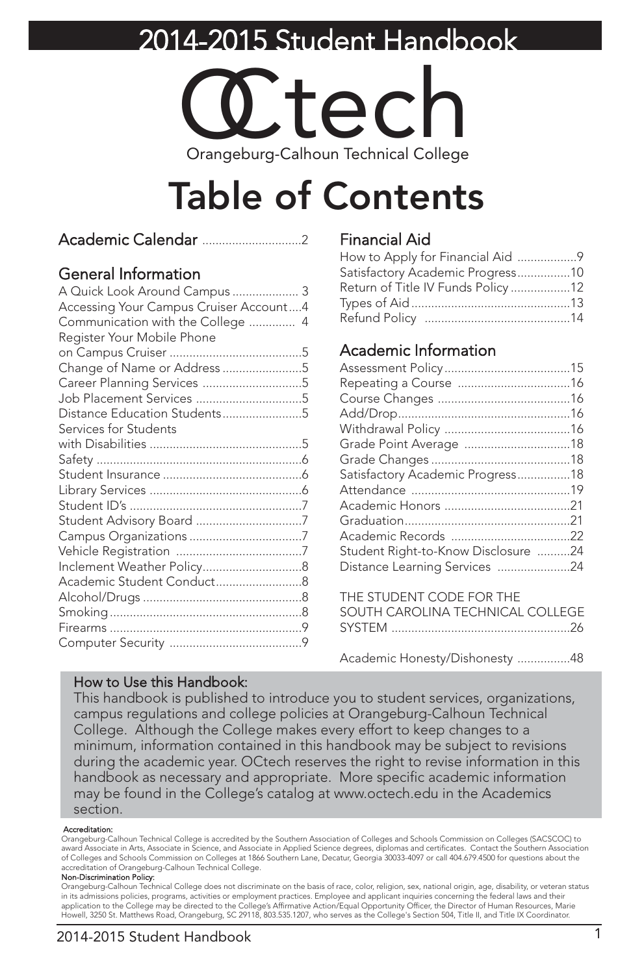### 2014-2015 Student Handbook



# Table of Contents

|--|--|

### General Information

| A Quick Look Around Campus  3          |  |
|----------------------------------------|--|
| Accessing Your Campus Cruiser Account4 |  |
| Communication with the College  4      |  |
| Register Your Mobile Phone             |  |
|                                        |  |
| Change of Name or Address 5            |  |
| Career Planning Services 5             |  |
| Job Placement Services 5               |  |
| Distance Education Students5           |  |
| Services for Students                  |  |
|                                        |  |
|                                        |  |
|                                        |  |
|                                        |  |
|                                        |  |
|                                        |  |
|                                        |  |
|                                        |  |
|                                        |  |
|                                        |  |
|                                        |  |
|                                        |  |
|                                        |  |
|                                        |  |
|                                        |  |

### Financial Aid

| How to Apply for Financial Aid 9  |  |
|-----------------------------------|--|
| Satisfactory Academic Progress10  |  |
| Return of Title IV Funds Policy12 |  |
|                                   |  |
|                                   |  |

### Academic Information

| Satisfactory Academic Progress18    |  |
|-------------------------------------|--|
|                                     |  |
|                                     |  |
|                                     |  |
|                                     |  |
| Student Right-to-Know Disclosure 24 |  |
| Distance Learning Services 24       |  |
|                                     |  |

| SOUTH CAROLINA TECHNICAL COLLEGE |
|----------------------------------|
|                                  |
|                                  |

Academic Honesty/Dishonesty ................48

#### How to Use this Handbook:

This handbook is published to introduce you to student services, organizations, campus regulations and college policies at Orangeburg-Calhoun Technical College. Although the College makes every effort to keep changes to a minimum, information contained in this handbook may be subject to revisions during the academic year. OCtech reserves the right to revise information in this handbook as necessary and appropriate. More specific academic information may be found in the College's catalog at www.octech.edu in the Academics section.

#### Accreditation:

Orangeburg-Calhoun Technical College is accredited by the Southern Association of Colleges and Schools Commission on Colleges (SACSCOC) to award Associate in Arts, Associate in Science, and Associate in Applied Science degrees, diplomas and certificates. Contact the Southern Association of Colleges and Schools Commission on Colleges at 1866 Southern Lane, Decatur, Georgia 30033-4097 or call 404.679.4500 for questions about the accreditation of Orangeburg-Calhoun Technical College.

#### Non-Discrimination Policy:

Orangeburg-Calhoun Technical College does not discriminate on the basis of race, color, religion, sex, national origin, age, disability, or veteran status in its admissions policies, programs, activities or employment practices. Employee and applicant inquiries concerning the federal laws and their application to the College may be directed to the College's Affirmative Action/Equal Opportunity Officer, the Director of Human Resources, Marie Howell, 3250 St. Matthews Road, Orangeburg, SC 29118, 803.535.1207, who serves as the College's Section 504, Title II, and Title IX Coordinator.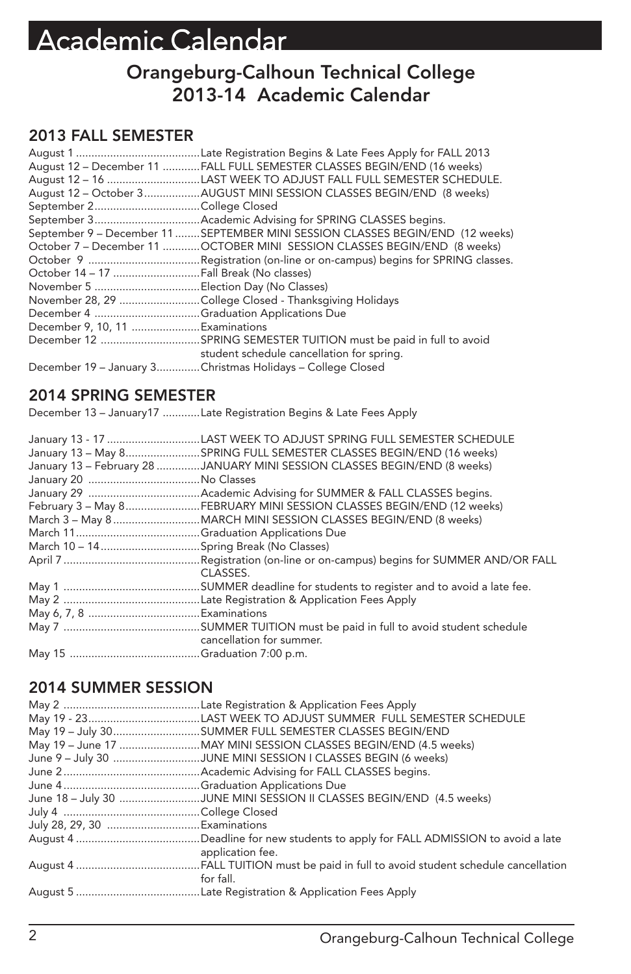## Academic Calendar

### Orangeburg-Calhoun Technical College 2013-14 Academic Calendar

### 2013 FALL SEMESTER

|                                         | August 12 - December 11 FALL FULL SEMESTER CLASSES BEGIN/END (16 weeks)       |
|-----------------------------------------|-------------------------------------------------------------------------------|
|                                         | August 12 - 16 LAST WEEK TO ADJUST FALL FULL SEMESTER SCHEDULE.               |
|                                         | August 12 - October 3AUGUST MINI SESSION CLASSES BEGIN/END (8 weeks)          |
|                                         |                                                                               |
|                                         |                                                                               |
|                                         | September 9 - December 11 SEPTEMBER MINI SESSION CLASSES BEGIN/END (12 weeks) |
|                                         | October 7 - December 11 OCTOBER MINI SESSION CLASSES BEGIN/END (8 weeks)      |
|                                         |                                                                               |
| October 14 - 17 Fall Break (No classes) |                                                                               |
|                                         |                                                                               |
|                                         | November 28, 29 College Closed - Thanksgiving Holidays                        |
| December 4 Graduation Applications Due  |                                                                               |
| December 9, 10, 11 Examinations         |                                                                               |
|                                         |                                                                               |
|                                         | student schedule cancellation for spring.                                     |
|                                         | December 19 - January 3Christmas Holidays - College Closed                    |

### 2014 SPRING SEMESTER

December 13 – January17 ............Late Registration Begins & Late Fees Apply

| January 13 - 17 LAST WEEK TO ADJUST SPRING FULL SEMESTER SCHEDULE         |
|---------------------------------------------------------------------------|
| January 13 - May 8SPRING FULL SEMESTER CLASSES BEGIN/END (16 weeks)       |
| January 13 - February 28 JANUARY MINI SESSION CLASSES BEGIN/END (8 weeks) |
|                                                                           |
|                                                                           |
| February 3 - May 8FEBRUARY MINI SESSION CLASSES BEGIN/END (12 weeks)      |
| March 3 - May 8 MARCH MINI SESSION CLASSES BEGIN/END (8 weeks)            |
|                                                                           |
|                                                                           |
|                                                                           |
| CLASSES.                                                                  |
|                                                                           |
|                                                                           |
|                                                                           |
|                                                                           |
| cancellation for summer.                                                  |
|                                                                           |

### 2014 SUMMER SESSION

|                              | May 19 - 23LAST WEEK TO ADJUST SUMMER FULL SEMESTER SCHEDULE         |
|------------------------------|----------------------------------------------------------------------|
|                              | May 19 - July 30SUMMER FULL SEMESTER CLASSES BEGIN/END               |
|                              |                                                                      |
|                              | June 9 - July 30 JUNE MINI SESSION I CLASSES BEGIN (6 weeks)         |
|                              |                                                                      |
|                              |                                                                      |
|                              | June 18 - July 30 JUNE MINI SESSION II CLASSES BEGIN/END (4.5 weeks) |
|                              |                                                                      |
| July 28, 29, 30 Examinations |                                                                      |
|                              | application fee.                                                     |
|                              | for fall.                                                            |
|                              |                                                                      |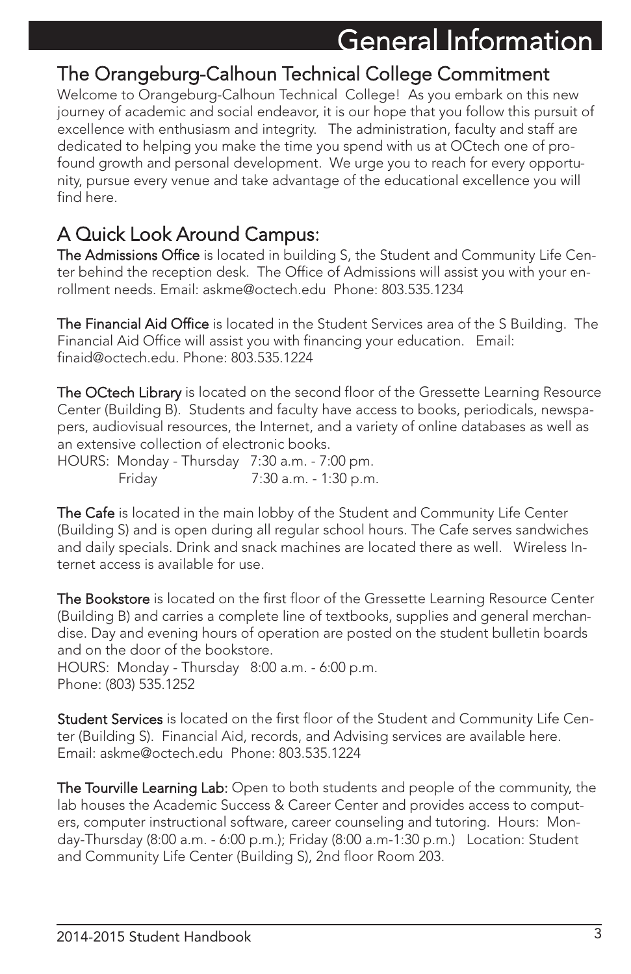### The Orangeburg-Calhoun Technical College Commitment

Welcome to Orangeburg-Calhoun Technical College! As you embark on this new journey of academic and social endeavor, it is our hope that you follow this pursuit of excellence with enthusiasm and integrity. The administration, faculty and staff are dedicated to helping you make the time you spend with us at OCtech one of profound growth and personal development. We urge you to reach for every opportunity, pursue every venue and take advantage of the educational excellence you will find here.

### A Quick Look Around Campus:

The Admissions Office is located in building S, the Student and Community Life Center behind the reception desk. The Office of Admissions will assist you with your enrollment needs. Email: askme@octech.edu Phone: 803.535.1234

The Financial Aid Office is located in the Student Services area of the S Building. The Financial Aid Office will assist you with financing your education. Email: finaid@octech.edu. Phone: 803.535.1224

The OCtech Library is located on the second floor of the Gressette Learning Resource Center (Building B). Students and faculty have access to books, periodicals, newspapers, audiovisual resources, the Internet, and a variety of online databases as well as an extensive collection of electronic books.

HOURS: Monday - Thursday 7:30 a.m. - 7:00 pm. Friday 7:30 a.m. - 1:30 p.m.

The Cafe is located in the main lobby of the Student and Community Life Center (Building S) and is open during all regular school hours. The Cafe serves sandwiches and daily specials. Drink and snack machines are located there as well. Wireless Internet access is available for use.

The Bookstore is located on the first floor of the Gressette Learning Resource Center (Building B) and carries a complete line of textbooks, supplies and general merchandise. Day and evening hours of operation are posted on the student bulletin boards and on the door of the bookstore. HOURS: Monday - Thursday 8:00 a.m. - 6:00 p.m.

Phone: (803) 535.1252

Student Services is located on the first floor of the Student and Community Life Center (Building S). Financial Aid, records, and Advising services are available here. Email: askme@octech.edu Phone: 803.535.1224

The Tourville Learning Lab: Open to both students and people of the community, the lab houses the Academic Success & Career Center and provides access to computers, computer instructional software, career counseling and tutoring. Hours: Monday-Thursday (8:00 a.m. - 6:00 p.m.); Friday (8:00 a.m-1:30 p.m.) Location: Student and Community Life Center (Building S), 2nd floor Room 203.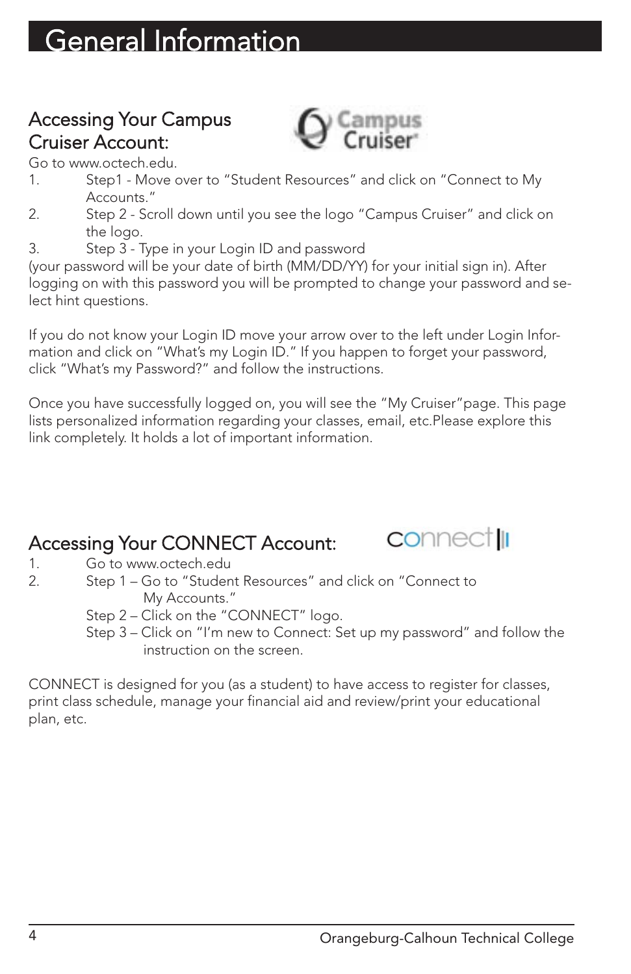### Accessing Your Campus Cruiser Account:



Go to www.octech.edu.

- 1. Step1 Move over to "Student Resources" and click on "Connect to My Accounts."
- 2. Step 2 Scroll down until you see the logo "Campus Cruiser" and click on the logo.
- 3. Step 3 Type in your Login ID and password

(your password will be your date of birth (MM/DD/YY) for your initial sign in). After logging on with this password you will be prompted to change your password and select hint questions.

If you do not know your Login ID move your arrow over to the left under Login Information and click on "What's my Login ID." If you happen to forget your password, click "What's my Password?" and follow the instructions.

Once you have successfully logged on, you will see the "My Cruiser"page. This page lists personalized information regarding your classes, email, etc.Please explore this link completely. It holds a lot of important information.

### Accessing Your CONNECT Account:

1. Go to www.octech.edu<br>2. Step 1 – Go to "Studen

- Step 1 Go to "Student Resources" and click on "Connect to My Accounts."
	- Step 2 Click on the "CONNECT" logo.
	- Step 3 Click on "I'm new to Connect: Set up my password" and follow the instruction on the screen.

CONNECT is designed for you (as a student) to have access to register for classes, print class schedule, manage your financial aid and review/print your educational plan, etc.

**CO**nnect<sub>II</sub>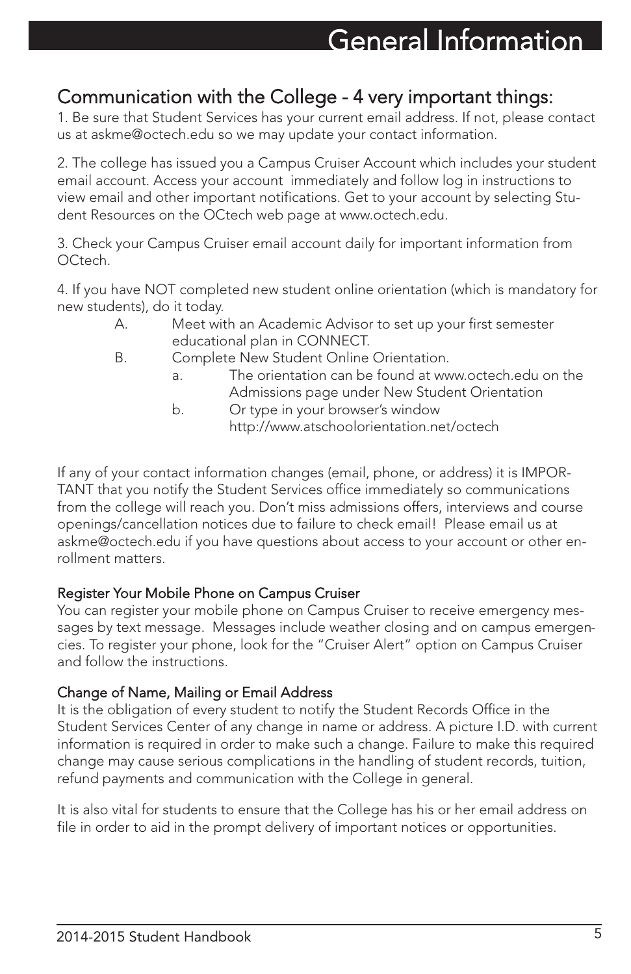### Communication with the College - 4 very important things:

1. Be sure that Student Services has your current email address. If not, please contact us at askme@octech.edu so we may update your contact information.

2. The college has issued you a Campus Cruiser Account which includes your student email account. Access your account immediately and follow log in instructions to view email and other important notifications. Get to your account by selecting Student Resources on the OCtech web page at www.octech.edu.

3. Check your Campus Cruiser email account daily for important information from OCtech.

4. If you have NOT completed new student online orientation (which is mandatory for new students), do it today.

- A. Meet with an Academic Advisor to set up your first semester educational plan in CONNECT.
- B. Complete New Student Online Orientation.
	- a. The orientation can be found at www.octech.edu on the Admissions page under New Student Orientation
	- b. Or type in your browser's window http://www.atschoolorientation.net/octech

If any of your contact information changes (email, phone, or address) it is IMPOR-TANT that you notify the Student Services office immediately so communications from the college will reach you. Don't miss admissions offers, interviews and course openings/cancellation notices due to failure to check email! Please email us at askme@octech.edu if you have questions about access to your account or other enrollment matters.

### Register Your Mobile Phone on Campus Cruiser

You can register your mobile phone on Campus Cruiser to receive emergency messages by text message. Messages include weather closing and on campus emergencies. To register your phone, look for the "Cruiser Alert" option on Campus Cruiser and follow the instructions.

### Change of Name, Mailing or Email Address

It is the obligation of every student to notify the Student Records Office in the Student Services Center of any change in name or address. A picture I.D. with current information is required in order to make such a change. Failure to make this required change may cause serious complications in the handling of student records, tuition, refund payments and communication with the College in general.

It is also vital for students to ensure that the College has his or her email address on file in order to aid in the prompt delivery of important notices or opportunities.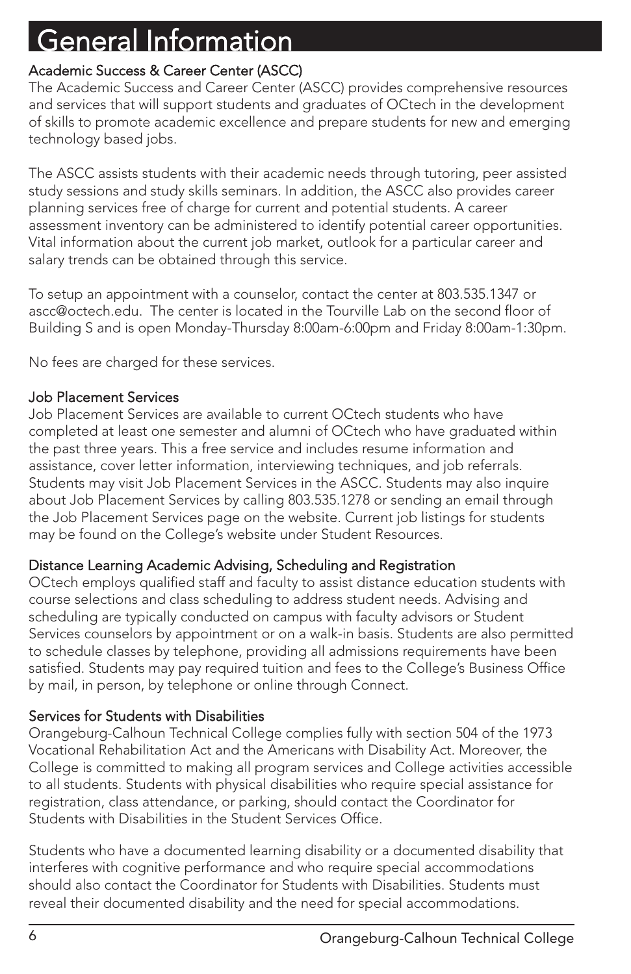### Academic Success & Career Center (ASCC)

The Academic Success and Career Center (ASCC) provides comprehensive resources and services that will support students and graduates of OCtech in the development of skills to promote academic excellence and prepare students for new and emerging technology based jobs.

The ASCC assists students with their academic needs through tutoring, peer assisted study sessions and study skills seminars. In addition, the ASCC also provides career planning services free of charge for current and potential students. A career assessment inventory can be administered to identify potential career opportunities. Vital information about the current job market, outlook for a particular career and salary trends can be obtained through this service.

To setup an appointment with a counselor, contact the center at 803.535.1347 or ascc@octech.edu. The center is located in the Tourville Lab on the second floor of Building S and is open Monday-Thursday 8:00am-6:00pm and Friday 8:00am-1:30pm.

No fees are charged for these services.

### Job Placement Services

Job Placement Services are available to current OCtech students who have completed at least one semester and alumni of OCtech who have graduated within the past three years. This a free service and includes resume information and assistance, cover letter information, interviewing techniques, and job referrals. Students may visit Job Placement Services in the ASCC. Students may also inquire about Job Placement Services by calling 803.535.1278 or sending an email through the Job Placement Services page on the website. Current job listings for students may be found on the College's website under Student Resources.

### Distance Learning Academic Advising, Scheduling and Registration

OCtech employs qualified staff and faculty to assist distance education students with course selections and class scheduling to address student needs. Advising and scheduling are typically conducted on campus with faculty advisors or Student Services counselors by appointment or on a walk-in basis. Students are also permitted to schedule classes by telephone, providing all admissions requirements have been satisfied. Students may pay required tuition and fees to the College's Business Office by mail, in person, by telephone or online through Connect.

### Services for Students with Disabilities

Orangeburg-Calhoun Technical College complies fully with section 504 of the 1973 Vocational Rehabilitation Act and the Americans with Disability Act. Moreover, the College is committed to making all program services and College activities accessible to all students. Students with physical disabilities who require special assistance for registration, class attendance, or parking, should contact the Coordinator for Students with Disabilities in the Student Services Office.

Students who have a documented learning disability or a documented disability that interferes with cognitive performance and who require special accommodations should also contact the Coordinator for Students with Disabilities. Students must reveal their documented disability and the need for special accommodations.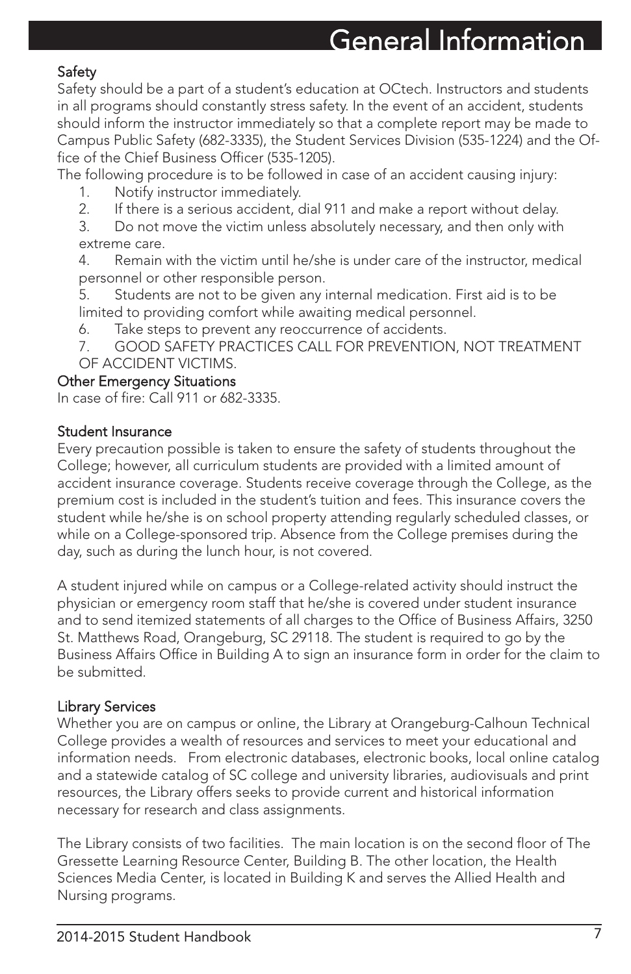### Safety

Safety should be a part of a student's education at OCtech. Instructors and students in all programs should constantly stress safety. In the event of an accident, students should inform the instructor immediately so that a complete report may be made to Campus Public Safety (682-3335), the Student Services Division (535-1224) and the Office of the Chief Business Officer (535-1205).

The following procedure is to be followed in case of an accident causing injury:

- 1. Notify instructor immediately.
- 2. If there is a serious accident, dial 911 and make a report without delay.
- 3. Do not move the victim unless absolutely necessary, and then only with extreme care.
- 4. Remain with the victim until he/she is under care of the instructor, medical personnel or other responsible person.
- 5. Students are not to be given any internal medication. First aid is to be limited to providing comfort while awaiting medical personnel.
- 6. Take steps to prevent any reoccurrence of accidents.
- 7. GOOD SAFETY PRACTICES CALL FOR PREVENTION, NOT TREATMENT OF ACCIDENT VICTIMS.

#### Other Emergency Situations

In case of fire: Call 911 or 682-3335.

### Student Insurance

Every precaution possible is taken to ensure the safety of students throughout the College; however, all curriculum students are provided with a limited amount of accident insurance coverage. Students receive coverage through the College, as the premium cost is included in the student's tuition and fees. This insurance covers the student while he/she is on school property attending regularly scheduled classes, or while on a College-sponsored trip. Absence from the College premises during the day, such as during the lunch hour, is not covered.

A student injured while on campus or a College-related activity should instruct the physician or emergency room staff that he/she is covered under student insurance and to send itemized statements of all charges to the Office of Business Affairs, 3250 St. Matthews Road, Orangeburg, SC 29118. The student is required to go by the Business Affairs Office in Building A to sign an insurance form in order for the claim to be submitted.

### Library Services

Whether you are on campus or online, the Library at Orangeburg-Calhoun Technical College provides a wealth of resources and services to meet your educational and information needs. From electronic databases, electronic books, local online catalog and a statewide catalog of SC college and university libraries, audiovisuals and print resources, the Library offers seeks to provide current and historical information necessary for research and class assignments.

The Library consists of two facilities. The main location is on the second floor of The Gressette Learning Resource Center, Building B. The other location, the Health Sciences Media Center, is located in Building K and serves the Allied Health and Nursing programs.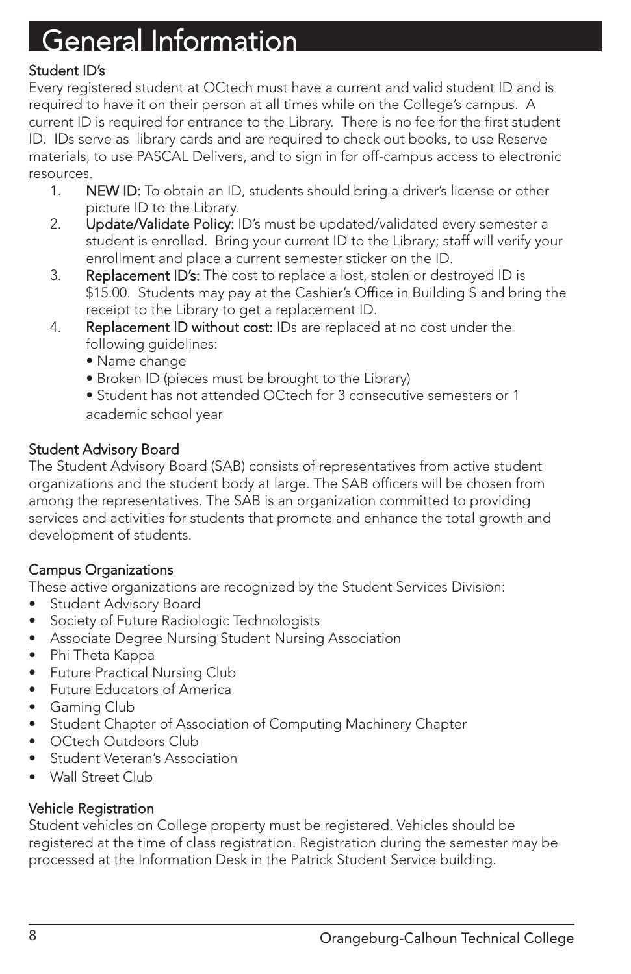### Student ID's

Every registered student at OCtech must have a current and valid student ID and is required to have it on their person at all times while on the College's campus. A current ID is required for entrance to the Library. There is no fee for the first student ID. IDs serve as library cards and are required to check out books, to use Reserve materials, to use PASCAL Delivers, and to sign in for off-campus access to electronic resources.

- 1. NEW ID: To obtain an ID, students should bring a driver's license or other picture ID to the Library.
- 2. Update/Validate Policy: ID's must be updated/validated every semester a student is enrolled. Bring your current ID to the Library; staff will verify your enrollment and place a current semester sticker on the ID.
- 3. Replacement ID's: The cost to replace a lost, stolen or destroyed ID is \$15.00. Students may pay at the Cashier's Office in Building S and bring the receipt to the Library to get a replacement ID.
- 4. Replacement ID without cost: IDs are replaced at no cost under the following guidelines:
	- Name change
	- Broken ID (pieces must be brought to the Library)
	- Student has not attended OCtech for 3 consecutive semesters or 1 academic school year

### Student Advisory Board

The Student Advisory Board (SAB) consists of representatives from active student organizations and the student body at large. The SAB officers will be chosen from among the representatives. The SAB is an organization committed to providing services and activities for students that promote and enhance the total growth and development of students.

### Campus Organizations

These active organizations are recognized by the Student Services Division:

- Student Advisory Board
- Society of Future Radiologic Technologists
- Associate Degree Nursing Student Nursing Association
- Phi Theta Kappa
- Future Practical Nursing Club
- Future Educators of America
- Gaming Club
- Student Chapter of Association of Computing Machinery Chapter
- OCtech Outdoors Club
- Student Veteran's Association
- Wall Street Club

### Vehicle Registration

Student vehicles on College property must be registered. Vehicles should be registered at the time of class registration. Registration during the semester may be processed at the Information Desk in the Patrick Student Service building.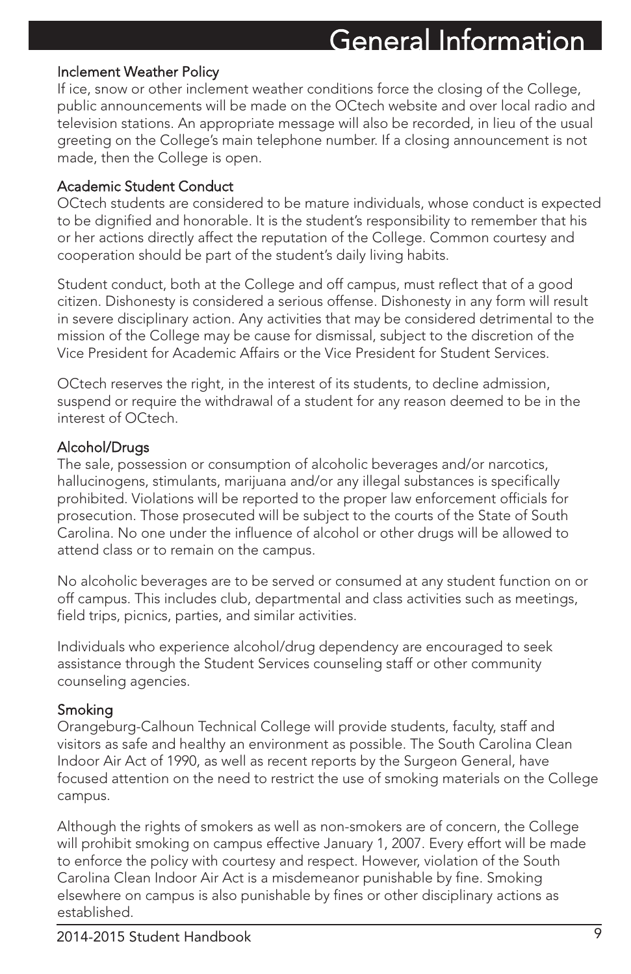#### Inclement Weather Policy

If ice, snow or other inclement weather conditions force the closing of the College, public announcements will be made on the OCtech website and over local radio and television stations. An appropriate message will also be recorded, in lieu of the usual greeting on the College's main telephone number. If a closing announcement is not made, then the College is open.

#### Academic Student Conduct

OCtech students are considered to be mature individuals, whose conduct is expected to be dignified and honorable. It is the student's responsibility to remember that his or her actions directly affect the reputation of the College. Common courtesy and cooperation should be part of the student's daily living habits.

Student conduct, both at the College and off campus, must reflect that of a good citizen. Dishonesty is considered a serious offense. Dishonesty in any form will result in severe disciplinary action. Any activities that may be considered detrimental to the mission of the College may be cause for dismissal, subject to the discretion of the Vice President for Academic Affairs or the Vice President for Student Services.

OCtech reserves the right, in the interest of its students, to decline admission, suspend or require the withdrawal of a student for any reason deemed to be in the interest of OCtech.

### Alcohol/Drugs

The sale, possession or consumption of alcoholic beverages and/or narcotics, hallucinogens, stimulants, marijuana and/or any illegal substances is specifically prohibited. Violations will be reported to the proper law enforcement officials for prosecution. Those prosecuted will be subject to the courts of the State of South Carolina. No one under the influence of alcohol or other drugs will be allowed to attend class or to remain on the campus.

No alcoholic beverages are to be served or consumed at any student function on or off campus. This includes club, departmental and class activities such as meetings, field trips, picnics, parties, and similar activities.

Individuals who experience alcohol/drug dependency are encouraged to seek assistance through the Student Services counseling staff or other community counseling agencies.

### Smoking

Orangeburg-Calhoun Technical College will provide students, faculty, staff and visitors as safe and healthy an environment as possible. The South Carolina Clean Indoor Air Act of 1990, as well as recent reports by the Surgeon General, have focused attention on the need to restrict the use of smoking materials on the College campus.

Although the rights of smokers as well as non-smokers are of concern, the College will prohibit smoking on campus effective January 1, 2007. Every effort will be made to enforce the policy with courtesy and respect. However, violation of the South Carolina Clean Indoor Air Act is a misdemeanor punishable by fine. Smoking elsewhere on campus is also punishable by fines or other disciplinary actions as established.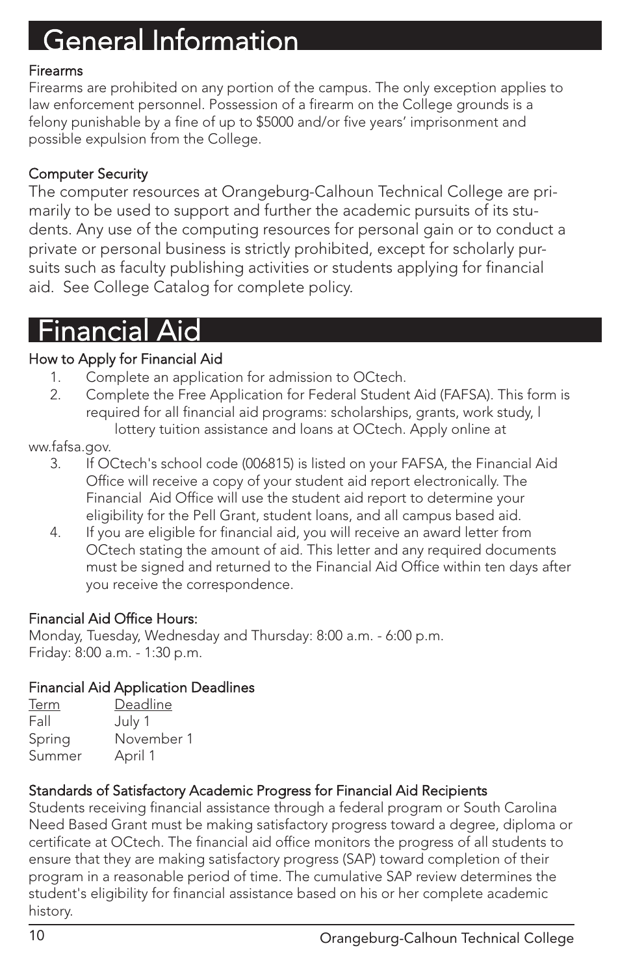### Firearms

Firearms are prohibited on any portion of the campus. The only exception applies to law enforcement personnel. Possession of a firearm on the College grounds is a felony punishable by a fine of up to \$5000 and/or five years' imprisonment and possible expulsion from the College.

### Computer Security

The computer resources at Orangeburg-Calhoun Technical College are primarily to be used to support and further the academic pursuits of its students. Any use of the computing resources for personal gain or to conduct a private or personal business is strictly prohibited, except for scholarly pursuits such as faculty publishing activities or students applying for financial aid. See College Catalog for complete policy.

### Financial Aid

### How to Apply for Financial Aid

- 1. Complete an application for admission to OCtech.
- 2. Complete the Free Application for Federal Student Aid (FAFSA). This form is required for all financial aid programs: scholarships, grants, work study, l lottery tuition assistance and loans at OCtech. Apply online at

ww.fafsa.gov.

- 3. If OCtech's school code (006815) is listed on your FAFSA, the Financial Aid Office will receive a copy of your student aid report electronically. The Financial Aid Office will use the student aid report to determine your eligibility for the Pell Grant, student loans, and all campus based aid.
- 4. If you are eligible for financial aid, you will receive an award letter from OCtech stating the amount of aid. This letter and any required documents must be signed and returned to the Financial Aid Office within ten days after you receive the correspondence.

### Financial Aid Office Hours:

Monday, Tuesday, Wednesday and Thursday: 8:00 a.m. - 6:00 p.m. Friday: 8:00 a.m. - 1:30 p.m.

### Financial Aid Application Deadlines

| Term   | Deadline   |
|--------|------------|
| Fall   | July 1     |
| Spring | November 1 |
| Summer | April 1    |

### Standards of Satisfactory Academic Progress for Financial Aid Recipients

Students receiving financial assistance through a federal program or South Carolina Need Based Grant must be making satisfactory progress toward a degree, diploma or certificate at OCtech. The financial aid office monitors the progress of all students to ensure that they are making satisfactory progress (SAP) toward completion of their program in a reasonable period of time. The cumulative SAP review determines the student's eligibility for financial assistance based on his or her complete academic history.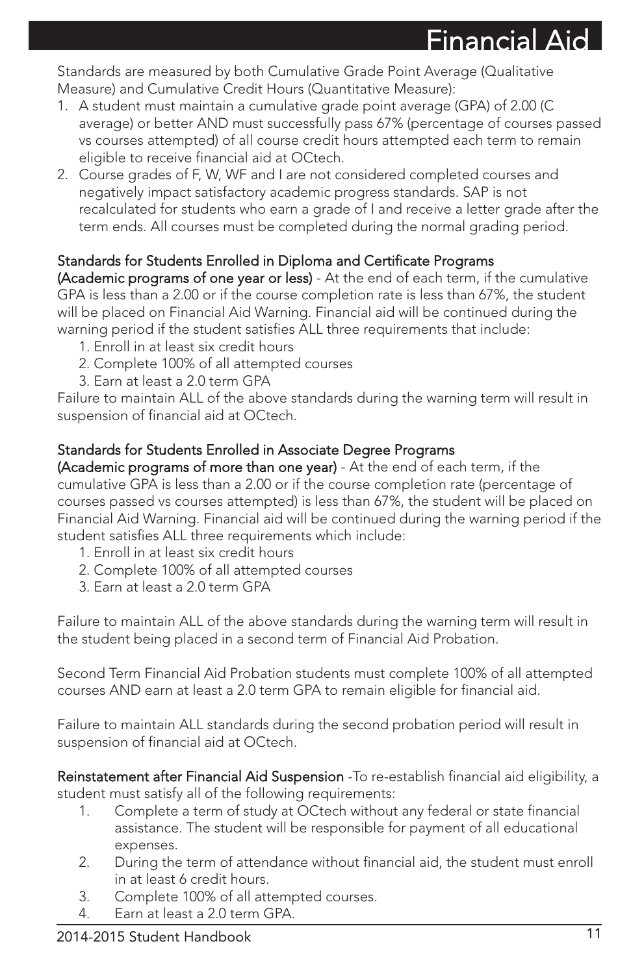Financial Aid

Standards are measured by both Cumulative Grade Point Average (Qualitative Measure) and Cumulative Credit Hours (Quantitative Measure):

- 1. A student must maintain a cumulative grade point average (GPA) of 2.00 (C average) or better AND must successfully pass 67% (percentage of courses passed vs courses attempted) of all course credit hours attempted each term to remain eligible to receive financial aid at OCtech.
- 2. Course grades of F, W, WF and I are not considered completed courses and negatively impact satisfactory academic progress standards. SAP is not recalculated for students who earn a grade of I and receive a letter grade after the term ends. All courses must be completed during the normal grading period.

### Standards for Students Enrolled in Diploma and Certificate Programs

(Academic programs of one year or less) - At the end of each term, if the cumulative GPA is less than a 2.00 or if the course completion rate is less than 67%, the student will be placed on Financial Aid Warning. Financial aid will be continued during the warning period if the student satisfies ALL three requirements that include:

- 1. Enroll in at least six credit hours
- 2. Complete 100% of all attempted courses
- 3. Earn at least a 2.0 term GPA

Failure to maintain ALL of the above standards during the warning term will result in suspension of financial aid at OCtech.

### Standards for Students Enrolled in Associate Degree Programs

(Academic programs of more than one year) - At the end of each term, if the cumulative GPA is less than a 2.00 or if the course completion rate (percentage of courses passed vs courses attempted) is less than 67%, the student will be placed on Financial Aid Warning. Financial aid will be continued during the warning period if the student satisfies ALL three requirements which include:

- 1. Enroll in at least six credit hours
- 2. Complete 100% of all attempted courses
- 3. Earn at least a 2.0 term GPA

Failure to maintain ALL of the above standards during the warning term will result in the student being placed in a second term of Financial Aid Probation.

Second Term Financial Aid Probation students must complete 100% of all attempted courses AND earn at least a 2.0 term GPA to remain eligible for financial aid.

Failure to maintain ALL standards during the second probation period will result in suspension of financial aid at OCtech.

Reinstatement after Financial Aid Suspension - To re-establish financial aid eligibility, a student must satisfy all of the following requirements:

- 1. Complete a term of study at OCtech without any federal or state financial assistance. The student will be responsible for payment of all educational expenses.
- 2. During the term of attendance without financial aid, the student must enroll in at least 6 credit hours.
- 3. Complete 100% of all attempted courses.
- 4. Earn at least a 2.0 term GPA.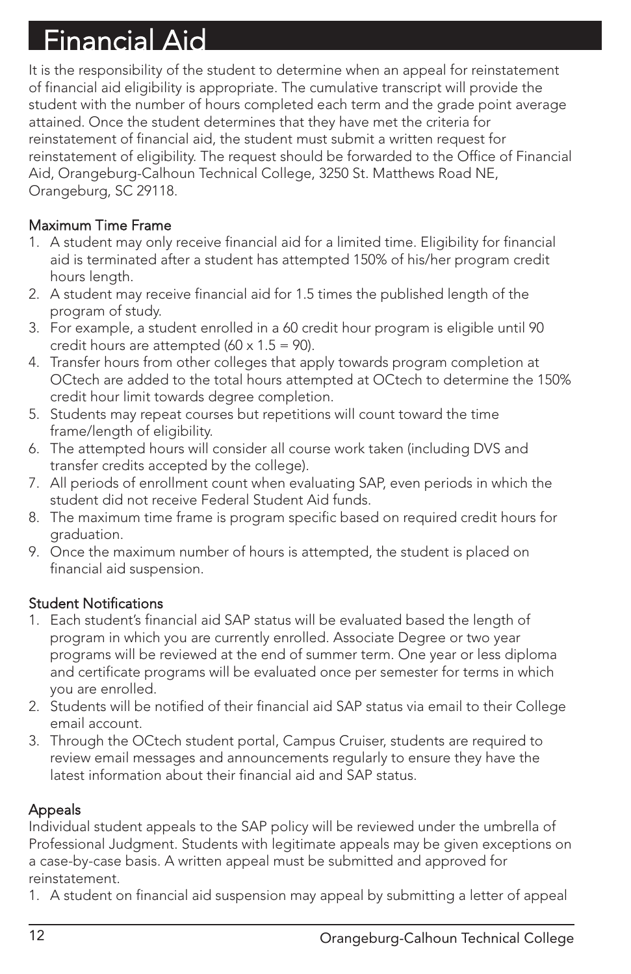# Financial Aid

It is the responsibility of the student to determine when an appeal for reinstatement of financial aid eligibility is appropriate. The cumulative transcript will provide the student with the number of hours completed each term and the grade point average attained. Once the student determines that they have met the criteria for reinstatement of financial aid, the student must submit a written request for reinstatement of eligibility. The request should be forwarded to the Office of Financial Aid, Orangeburg-Calhoun Technical College, 3250 St. Matthews Road NE, Orangeburg, SC 29118.

### Maximum Time Frame

- 1. A student may only receive financial aid for a limited time. Eligibility for financial aid is terminated after a student has attempted 150% of his/her program credit hours length.
- 2. A student may receive financial aid for 1.5 times the published length of the program of study.
- 3. For example, a student enrolled in a 60 credit hour program is eligible until 90 credit hours are attempted  $(60 \times 1.5 = 90)$ .
- 4. Transfer hours from other colleges that apply towards program completion at OCtech are added to the total hours attempted at OCtech to determine the 150% credit hour limit towards degree completion.
- 5. Students may repeat courses but repetitions will count toward the time frame/length of eligibility.
- 6. The attempted hours will consider all course work taken (including DVS and transfer credits accepted by the college).
- 7. All periods of enrollment count when evaluating SAP, even periods in which the student did not receive Federal Student Aid funds.
- 8. The maximum time frame is program specific based on required credit hours for graduation.
- 9. Once the maximum number of hours is attempted, the student is placed on financial aid suspension.

### Student Notifications

- 1. Each student's financial aid SAP status will be evaluated based the length of program in which you are currently enrolled. Associate Degree or two year programs will be reviewed at the end of summer term. One year or less diploma and certificate programs will be evaluated once per semester for terms in which you are enrolled.
- 2. Students will be notified of their financial aid SAP status via email to their College email account.
- 3. Through the OCtech student portal, Campus Cruiser, students are required to review email messages and announcements regularly to ensure they have the latest information about their financial aid and SAP status.

### Appeals

Individual student appeals to the SAP policy will be reviewed under the umbrella of Professional Judgment. Students with legitimate appeals may be given exceptions on a case-by-case basis. A written appeal must be submitted and approved for reinstatement.

1. A student on financial aid suspension may appeal by submitting a letter of appeal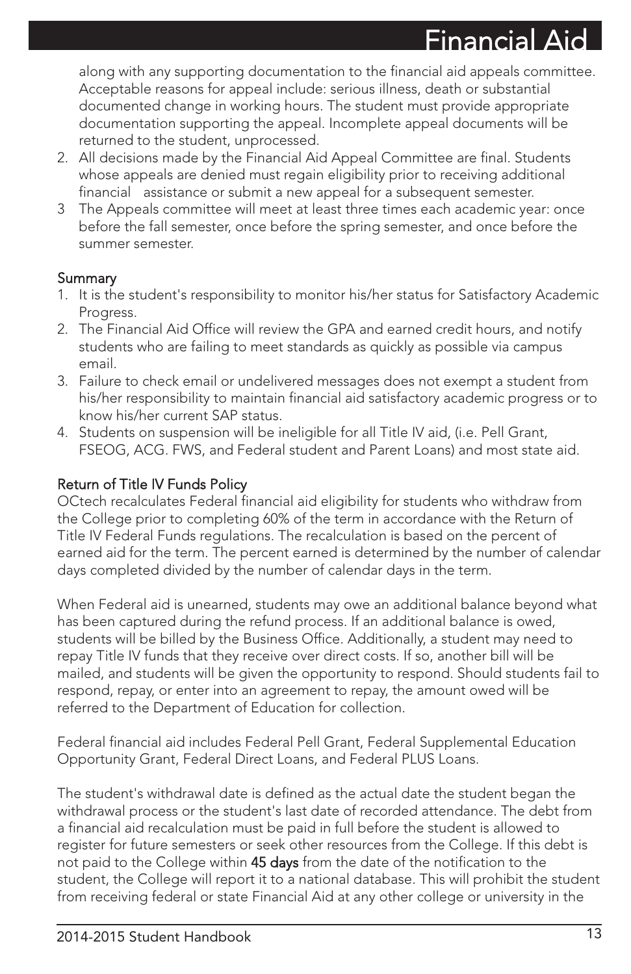$Fin$ ancial  $\Delta$ 

along with any supporting documentation to the financial aid appeals committee. Acceptable reasons for appeal include: serious illness, death or substantial documented change in working hours. The student must provide appropriate documentation supporting the appeal. Incomplete appeal documents will be returned to the student, unprocessed.

- 2. All decisions made by the Financial Aid Appeal Committee are final. Students whose appeals are denied must regain eligibility prior to receiving additional financial assistance or submit a new appeal for a subsequent semester.
- 3 The Appeals committee will meet at least three times each academic year: once before the fall semester, once before the spring semester, and once before the summer semester.

### Summary

- 1. It is the student's responsibility to monitor his/her status for Satisfactory Academic Progress.
- 2. The Financial Aid Office will review the GPA and earned credit hours, and notify students who are failing to meet standards as quickly as possible via campus email.
- 3. Failure to check email or undelivered messages does not exempt a student from his/her responsibility to maintain financial aid satisfactory academic progress or to know his/her current SAP status.
- 4. Students on suspension will be ineligible for all Title IV aid, (i.e. Pell Grant, FSEOG, ACG. FWS, and Federal student and Parent Loans) and most state aid.

### Return of Title IV Funds Policy

OCtech recalculates Federal financial aid eligibility for students who withdraw from the College prior to completing 60% of the term in accordance with the Return of Title IV Federal Funds regulations. The recalculation is based on the percent of earned aid for the term. The percent earned is determined by the number of calendar days completed divided by the number of calendar days in the term.

When Federal aid is unearned, students may owe an additional balance beyond what has been captured during the refund process. If an additional balance is owed, students will be billed by the Business Office. Additionally, a student may need to repay Title IV funds that they receive over direct costs. If so, another bill will be mailed, and students will be given the opportunity to respond. Should students fail to respond, repay, or enter into an agreement to repay, the amount owed will be referred to the Department of Education for collection.

Federal financial aid includes Federal Pell Grant, Federal Supplemental Education Opportunity Grant, Federal Direct Loans, and Federal PLUS Loans.

The student's withdrawal date is defined as the actual date the student began the withdrawal process or the student's last date of recorded attendance. The debt from a financial aid recalculation must be paid in full before the student is allowed to register for future semesters or seek other resources from the College. If this debt is not paid to the College within 45 days from the date of the notification to the student, the College will report it to a national database. This will prohibit the student from receiving federal or state Financial Aid at any other college or university in the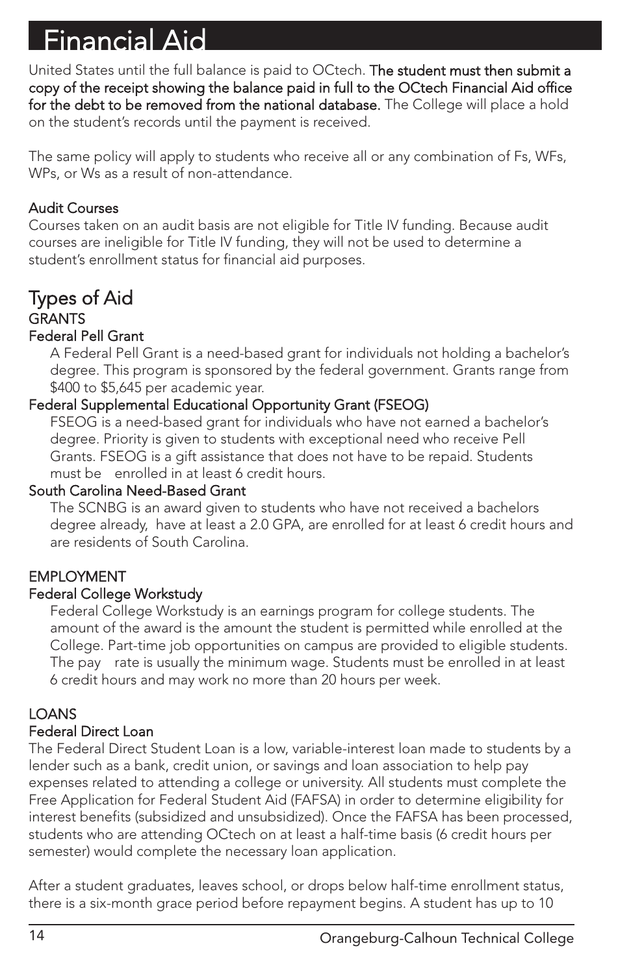# Financial Aid

United States until the full balance is paid to OCtech. The student must then submit a copy of the receipt showing the balance paid in full to the OCtech Financial Aid office for the debt to be removed from the national database. The College will place a hold on the student's records until the payment is received.

The same policy will apply to students who receive all or any combination of Fs, WFs, WPs, or Ws as a result of non-attendance.

### Audit Courses

Courses taken on an audit basis are not eligible for Title IV funding. Because audit courses are ineligible for Title IV funding, they will not be used to determine a student's enrollment status for financial aid purposes.

### Types of Aid **GRANTS** Federal Pell Grant

A Federal Pell Grant is a need-based grant for individuals not holding a bachelor's degree. This program is sponsored by the federal government. Grants range from \$400 to \$5,645 per academic year.

### Federal Supplemental Educational Opportunity Grant (FSEOG)

FSEOG is a need-based grant for individuals who have not earned a bachelor's degree. Priority is given to students with exceptional need who receive Pell Grants. FSEOG is a gift assistance that does not have to be repaid. Students must be enrolled in at least 6 credit hours.

### South Carolina Need-Based Grant

The SCNBG is an award given to students who have not received a bachelors degree already, have at least a 2.0 GPA, are enrolled for at least 6 credit hours and are residents of South Carolina.

### EMPLOYMENT

### Federal College Workstudy

Federal College Workstudy is an earnings program for college students. The amount of the award is the amount the student is permitted while enrolled at the College. Part-time job opportunities on campus are provided to eligible students. The pay rate is usually the minimum wage. Students must be enrolled in at least 6 credit hours and may work no more than 20 hours per week.

### **LOANS**

### Federal Direct Loan

The Federal Direct Student Loan is a low, variable-interest loan made to students by a lender such as a bank, credit union, or savings and loan association to help pay expenses related to attending a college or university. All students must complete the Free Application for Federal Student Aid (FAFSA) in order to determine eligibility for interest benefits (subsidized and unsubsidized). Once the FAFSA has been processed, students who are attending OCtech on at least a half-time basis (6 credit hours per semester) would complete the necessary loan application.

After a student graduates, leaves school, or drops below half-time enrollment status, there is a six-month grace period before repayment begins. A student has up to 10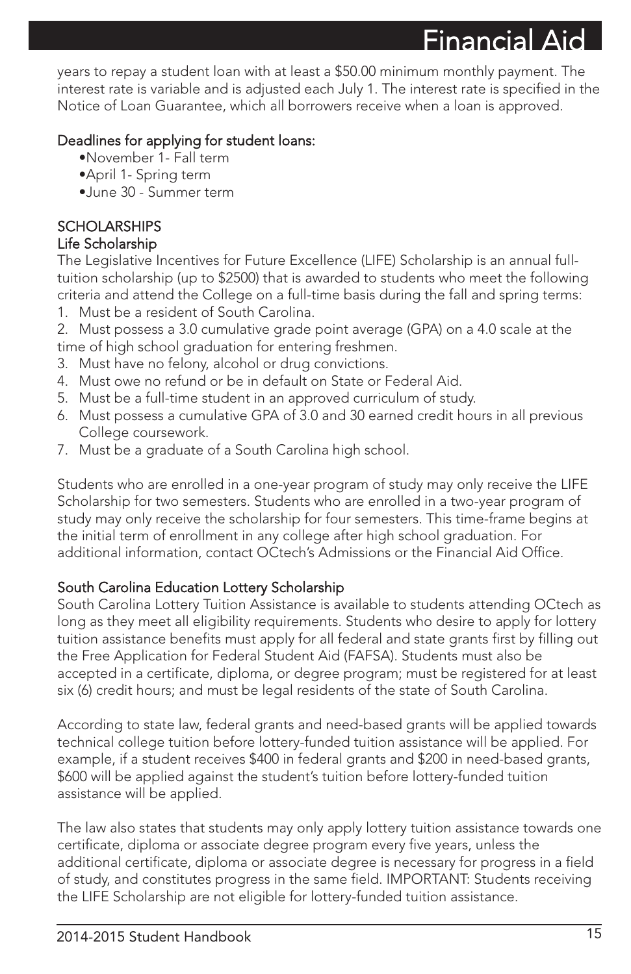$F$ inancial A

years to repay a student loan with at least a \$50.00 minimum monthly payment. The interest rate is variable and is adjusted each July 1. The interest rate is specified in the Notice of Loan Guarantee, which all borrowers receive when a loan is approved.

### Deadlines for applying for student loans:

- •November 1- Fall term
- •April 1- Spring term
- •June 30 Summer term

### **SCHOLARSHIPS**

### Life Scholarship

The Legislative Incentives for Future Excellence (LIFE) Scholarship is an annual fulltuition scholarship (up to \$2500) that is awarded to students who meet the following criteria and attend the College on a full-time basis during the fall and spring terms:

- 1. Must be a resident of South Carolina.
- 2. Must possess a 3.0 cumulative grade point average (GPA) on a 4.0 scale at the time of high school graduation for entering freshmen.
- 3. Must have no felony, alcohol or drug convictions.
- 4. Must owe no refund or be in default on State or Federal Aid.
- 5. Must be a full-time student in an approved curriculum of study.
- 6. Must possess a cumulative GPA of 3.0 and 30 earned credit hours in all previous College coursework.
- 7. Must be a graduate of a South Carolina high school.

Students who are enrolled in a one-year program of study may only receive the LIFE Scholarship for two semesters. Students who are enrolled in a two-year program of study may only receive the scholarship for four semesters. This time-frame begins at the initial term of enrollment in any college after high school graduation. For additional information, contact OCtech's Admissions or the Financial Aid Office.

### South Carolina Education Lottery Scholarship

South Carolina Lottery Tuition Assistance is available to students attending OCtech as long as they meet all eligibility requirements. Students who desire to apply for lottery tuition assistance benefits must apply for all federal and state grants first by filling out the Free Application for Federal Student Aid (FAFSA). Students must also be accepted in a certificate, diploma, or degree program; must be registered for at least six (6) credit hours; and must be legal residents of the state of South Carolina.

According to state law, federal grants and need-based grants will be applied towards technical college tuition before lottery-funded tuition assistance will be applied. For example, if a student receives \$400 in federal grants and \$200 in need-based grants, \$600 will be applied against the student's tuition before lottery-funded tuition assistance will be applied.

The law also states that students may only apply lottery tuition assistance towards one certificate, diploma or associate degree program every five years, unless the additional certificate, diploma or associate degree is necessary for progress in a field of study, and constitutes progress in the same field. IMPORTANT: Students receiving the LIFE Scholarship are not eligible for lottery-funded tuition assistance.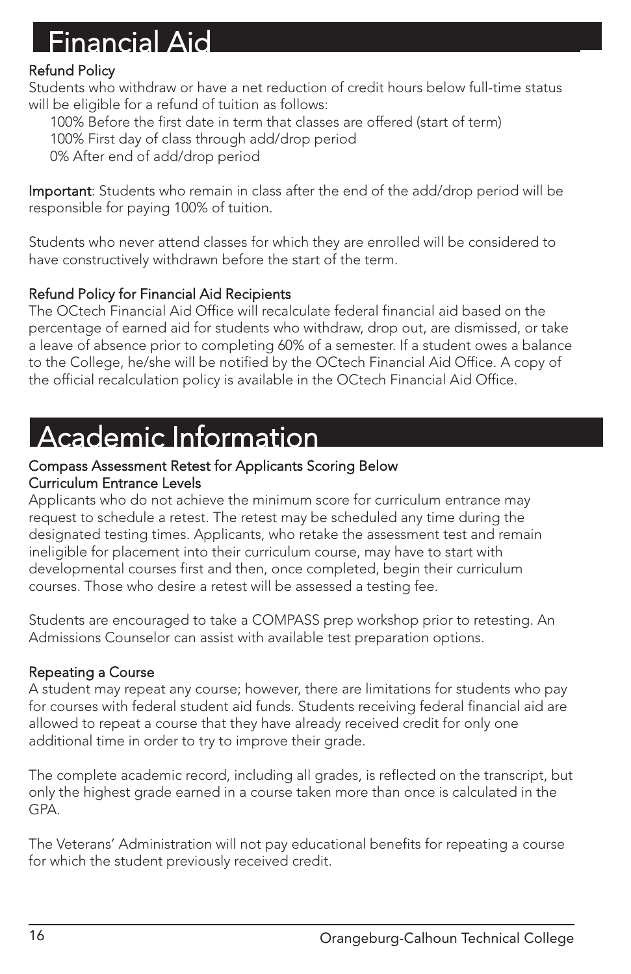### Financial Aid

### Refund Policy

Students who withdraw or have a net reduction of credit hours below full-time status will be eligible for a refund of tuition as follows:

100% Before the first date in term that classes are offered (start of term)

100% First day of class through add/drop period

0% After end of add/drop period

Important: Students who remain in class after the end of the add/drop period will be responsible for paying 100% of tuition.

Students who never attend classes for which they are enrolled will be considered to have constructively withdrawn before the start of the term.

### Refund Policy for Financial Aid Recipients

The OCtech Financial Aid Office will recalculate federal financial aid based on the percentage of earned aid for students who withdraw, drop out, are dismissed, or take a leave of absence prior to completing 60% of a semester. If a student owes a balance to the College, he/she will be notified by the OCtech Financial Aid Office. A copy of the official recalculation policy is available in the OCtech Financial Aid Office.

### Academic Information

#### Compass Assessment Retest for Applicants Scoring Below Curriculum Entrance Levels

Applicants who do not achieve the minimum score for curriculum entrance may request to schedule a retest. The retest may be scheduled any time during the designated testing times. Applicants, who retake the assessment test and remain ineligible for placement into their curriculum course, may have to start with developmental courses first and then, once completed, begin their curriculum courses. Those who desire a retest will be assessed a testing fee.

Students are encouraged to take a COMPASS prep workshop prior to retesting. An Admissions Counselor can assist with available test preparation options.

### Repeating a Course

A student may repeat any course; however, there are limitations for students who pay for courses with federal student aid funds. Students receiving federal financial aid are allowed to repeat a course that they have already received credit for only one additional time in order to try to improve their grade.

The complete academic record, including all grades, is reflected on the transcript, but only the highest grade earned in a course taken more than once is calculated in the GPA.

The Veterans' Administration will not pay educational benefits for repeating a course for which the student previously received credit.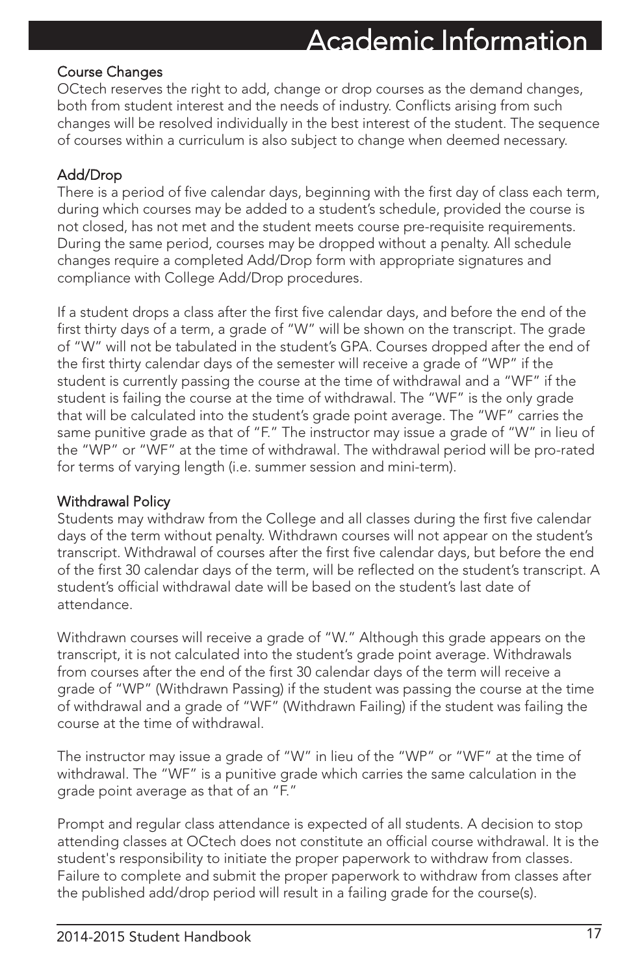### Academic Information

### Course Changes

OCtech reserves the right to add, change or drop courses as the demand changes, both from student interest and the needs of industry. Conflicts arising from such changes will be resolved individually in the best interest of the student. The sequence of courses within a curriculum is also subject to change when deemed necessary.

### Add/Drop

There is a period of five calendar days, beginning with the first day of class each term, during which courses may be added to a student's schedule, provided the course is not closed, has not met and the student meets course pre-requisite requirements. During the same period, courses may be dropped without a penalty. All schedule changes require a completed Add/Drop form with appropriate signatures and compliance with College Add/Drop procedures.

If a student drops a class after the first five calendar days, and before the end of the first thirty days of a term, a grade of "W" will be shown on the transcript. The grade of "W" will not be tabulated in the student's GPA. Courses dropped after the end of the first thirty calendar days of the semester will receive a grade of "WP" if the student is currently passing the course at the time of withdrawal and a "WF" if the student is failing the course at the time of withdrawal. The "WF" is the only grade that will be calculated into the student's grade point average. The "WF" carries the same punitive grade as that of "F." The instructor may issue a grade of "W" in lieu of the "WP" or "WF" at the time of withdrawal. The withdrawal period will be pro-rated for terms of varying length (i.e. summer session and mini-term).

### Withdrawal Policy

Students may withdraw from the College and all classes during the first five calendar days of the term without penalty. Withdrawn courses will not appear on the student's transcript. Withdrawal of courses after the first five calendar days, but before the end of the first 30 calendar days of the term, will be reflected on the student's transcript. A student's official withdrawal date will be based on the student's last date of attendance.

Withdrawn courses will receive a grade of "W." Although this grade appears on the transcript, it is not calculated into the student's grade point average. Withdrawals from courses after the end of the first 30 calendar days of the term will receive a grade of "WP" (Withdrawn Passing) if the student was passing the course at the time of withdrawal and a grade of "WF" (Withdrawn Failing) if the student was failing the course at the time of withdrawal.

The instructor may issue a grade of "W" in lieu of the "WP" or "WF" at the time of withdrawal. The "WF" is a punitive grade which carries the same calculation in the grade point average as that of an "F."

Prompt and regular class attendance is expected of all students. A decision to stop attending classes at OCtech does not constitute an official course withdrawal. It is the student's responsibility to initiate the proper paperwork to withdraw from classes. Failure to complete and submit the proper paperwork to withdraw from classes after the published add/drop period will result in a failing grade for the course(s).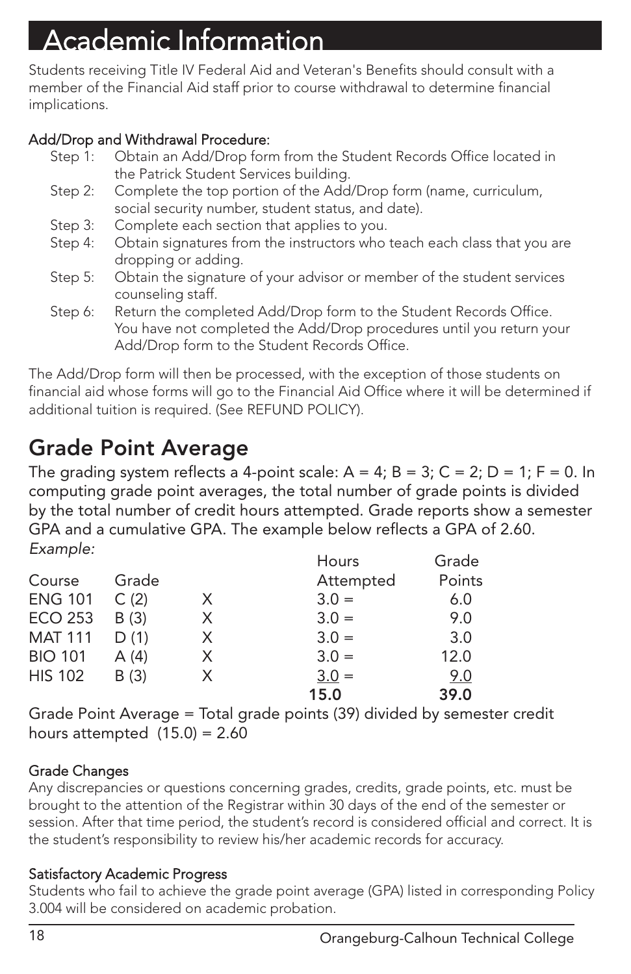# Academic Information

Students receiving Title IV Federal Aid and Veteran's Benefits should consult with a member of the Financial Aid staff prior to course withdrawal to determine financial implications.

### Add/Drop and Withdrawal Procedure:

- Step 1: Obtain an Add/Drop form from the Student Records Office located in the Patrick Student Services building.
- Step 2: Complete the top portion of the Add/Drop form (name, curriculum, social security number, student status, and date).
- Step 3: Complete each section that applies to you.
- Step 4: Obtain signatures from the instructors who teach each class that you are dropping or adding.
- Step 5: Obtain the signature of your advisor or member of the student services counseling staff.
- Step 6: Return the completed Add/Drop form to the Student Records Office. You have not completed the Add/Drop procedures until you return your Add/Drop form to the Student Records Office.

The Add/Drop form will then be processed, with the exception of those students on financial aid whose forms will go to the Financial Aid Office where it will be determined if additional tuition is required. (See REFUND POLICY).

### Grade Point Average

The grading system reflects a 4-point scale:  $A = 4$ ;  $B = 3$ ;  $C = 2$ ;  $D = 1$ ;  $F = 0$ . In computing grade point averages, the total number of grade points is divided by the total number of credit hours attempted. Grade reports show a semester GPA and a cumulative GPA. The example below reflects a GPA of 2.60. Example: Hours Grade

|                |       |    | Hours     | Grade  |
|----------------|-------|----|-----------|--------|
| Course         | Grade |    | Attempted | Points |
| <b>ENG 101</b> | C(2)  | X. | $3.0 =$   | 6.0    |
| <b>ECO 253</b> | B(3)  | X. | $3.0 =$   | 9.0    |
| <b>MAT 111</b> | D(1)  | X. | $3.0 =$   | 3.0    |
| <b>BIO 101</b> | A (4) | X  | $3.0 =$   | 12.0   |
| <b>HIS 102</b> | B(3)  | X. | $3.0 =$   | 9.0    |
|                |       |    | 15.0      | 39.0   |
|                |       |    |           |        |

Grade Point Average = Total grade points (39) divided by semester credit hours attempted  $(15.0) = 2.60$ 

### Grade Changes

Any discrepancies or questions concerning grades, credits, grade points, etc. must be brought to the attention of the Registrar within 30 days of the end of the semester or session. After that time period, the student's record is considered official and correct. It is the student's responsibility to review his/her academic records for accuracy.

### Satisfactory Academic Progress

Students who fail to achieve the grade point average (GPA) listed in corresponding Policy 3.004 will be considered on academic probation.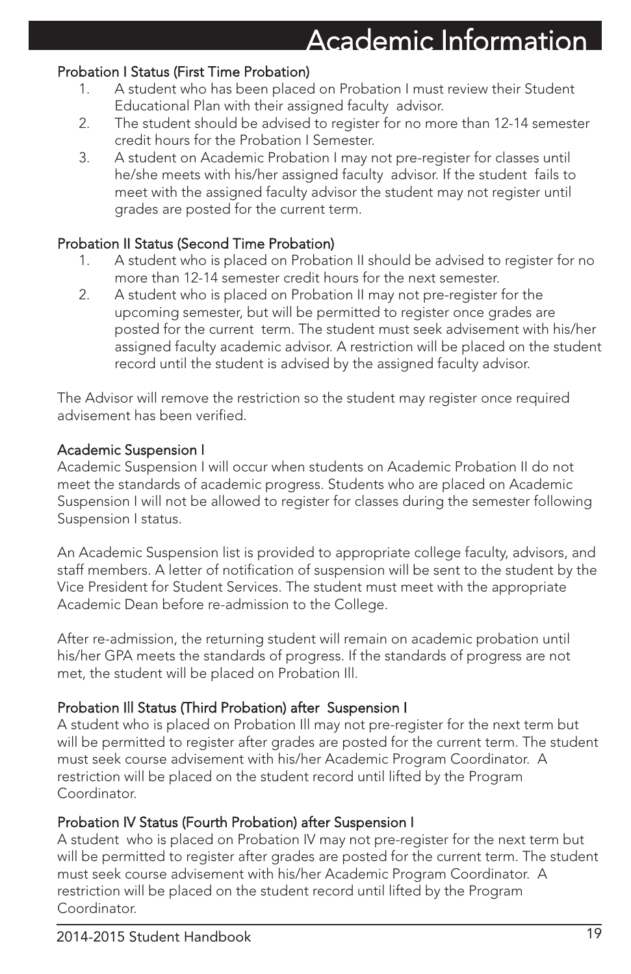#### Probation I Status (First Time Probation)

- 1. A student who has been placed on Probation I must review their Student Educational Plan with their assigned faculty advisor.
- 2. The student should be advised to register for no more than 12-14 semester credit hours for the Probation I Semester.
- 3. A student on Academic Probation I may not pre-register for classes until he/she meets with his/her assigned faculty advisor. If the student fails to meet with the assigned faculty advisor the student may not register until grades are posted for the current term.

#### Probation II Status (Second Time Probation)

- 1. A student who is placed on Probation II should be advised to register for no more than 12-14 semester credit hours for the next semester.
- 2. A student who is placed on Probation II may not pre-register for the upcoming semester, but will be permitted to register once grades are posted for the current term. The student must seek advisement with his/her assigned faculty academic advisor. A restriction will be placed on the student record until the student is advised by the assigned faculty advisor.

The Advisor will remove the restriction so the student may register once required advisement has been verified.

#### Academic Suspension I

Academic Suspension I will occur when students on Academic Probation II do not meet the standards of academic progress. Students who are placed on Academic Suspension I will not be allowed to register for classes during the semester following Suspension I status.

An Academic Suspension list is provided to appropriate college faculty, advisors, and staff members. A letter of notification of suspension will be sent to the student by the Vice President for Student Services. The student must meet with the appropriate Academic Dean before re-admission to the College.

After re-admission, the returning student will remain on academic probation until his/her GPA meets the standards of progress. If the standards of progress are not met, the student will be placed on Probation Ill.

### Probation Ill Status (Third Probation) after Suspension I

A student who is placed on Probation Ill may not pre-register for the next term but will be permitted to register after grades are posted for the current term. The student must seek course advisement with his/her Academic Program Coordinator. A restriction will be placed on the student record until lifted by the Program Coordinator.

### Probation IV Status (Fourth Probation) after Suspension I

A student who is placed on Probation IV may not pre-register for the next term but will be permitted to register after grades are posted for the current term. The student must seek course advisement with his/her Academic Program Coordinator. A restriction will be placed on the student record until lifted by the Program Coordinator.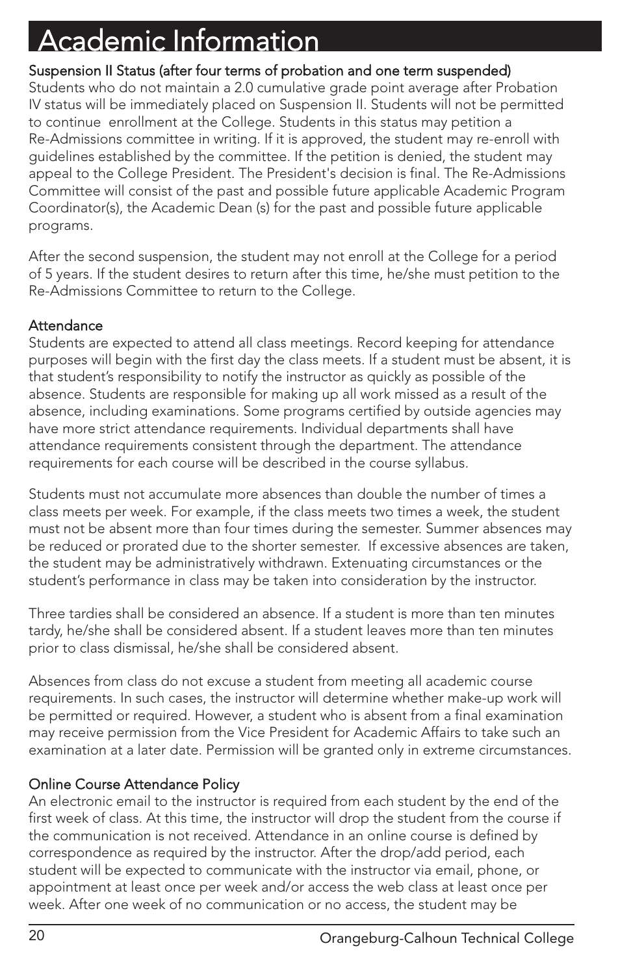# Academic Information

### Suspension II Status (after four terms of probation and one term suspended)

Students who do not maintain a 2.0 cumulative grade point average after Probation IV status will be immediately placed on Suspension II. Students will not be permitted to continue enrollment at the College. Students in this status may petition a Re-Admissions committee in writing. If it is approved, the student may re-enroll with guidelines established by the committee. If the petition is denied, the student may appeal to the College President. The President's decision is final. The Re-Admissions Committee will consist of the past and possible future applicable Academic Program Coordinator(s), the Academic Dean (s) for the past and possible future applicable programs.

After the second suspension, the student may not enroll at the College for a period of 5 years. If the student desires to return after this time, he/she must petition to the Re-Admissions Committee to return to the College.

### **Attendance**

Students are expected to attend all class meetings. Record keeping for attendance purposes will begin with the first day the class meets. If a student must be absent, it is that student's responsibility to notify the instructor as quickly as possible of the absence. Students are responsible for making up all work missed as a result of the absence, including examinations. Some programs certified by outside agencies may have more strict attendance requirements. Individual departments shall have attendance requirements consistent through the department. The attendance requirements for each course will be described in the course syllabus.

Students must not accumulate more absences than double the number of times a class meets per week. For example, if the class meets two times a week, the student must not be absent more than four times during the semester. Summer absences may be reduced or prorated due to the shorter semester. If excessive absences are taken, the student may be administratively withdrawn. Extenuating circumstances or the student's performance in class may be taken into consideration by the instructor.

Three tardies shall be considered an absence. If a student is more than ten minutes tardy, he/she shall be considered absent. If a student leaves more than ten minutes prior to class dismissal, he/she shall be considered absent.

Absences from class do not excuse a student from meeting all academic course requirements. In such cases, the instructor will determine whether make-up work will be permitted or required. However, a student who is absent from a final examination may receive permission from the Vice President for Academic Affairs to take such an examination at a later date. Permission will be granted only in extreme circumstances.

### Online Course Attendance Policy

An electronic email to the instructor is required from each student by the end of the first week of class. At this time, the instructor will drop the student from the course if the communication is not received. Attendance in an online course is defined by correspondence as required by the instructor. After the drop/add period, each student will be expected to communicate with the instructor via email, phone, or appointment at least once per week and/or access the web class at least once per week. After one week of no communication or no access, the student may be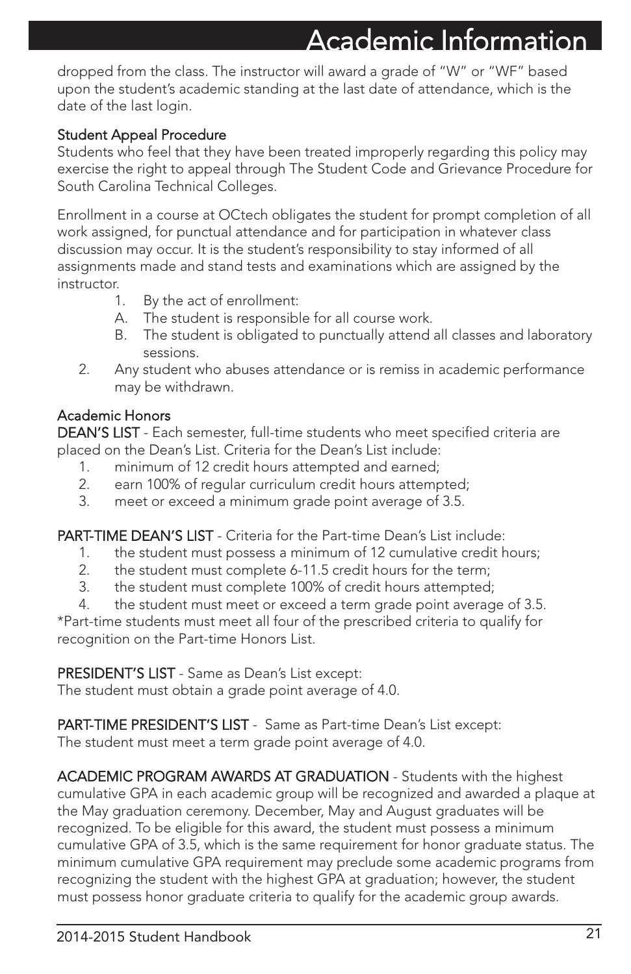### Academic Information

dropped from the class. The instructor will award a grade of "W" or "WF" based upon the student's academic standing at the last date of attendance, which is the date of the last login.

### Student Appeal Procedure

Students who feel that they have been treated improperly regarding this policy may exercise the right to appeal through The Student Code and Grievance Procedure for South Carolina Technical Colleges.

Enrollment in a course at OCtech obligates the student for prompt completion of all work assigned, for punctual attendance and for participation in whatever class discussion may occur. It is the student's responsibility to stay informed of all assignments made and stand tests and examinations which are assigned by the instructor.

- 1. By the act of enrollment:
- A. The student is responsible for all course work.
- B. The student is obligated to punctually attend all classes and laboratory sessions.
- 2. Any student who abuses attendance or is remiss in academic performance may be withdrawn.

### Academic Honors

DEAN'S LIST - Each semester, full-time students who meet specified criteria are placed on the Dean's List. Criteria for the Dean's List include:

- 1. minimum of 12 credit hours attempted and earned;
- 2. earn 100% of regular curriculum credit hours attempted;
- 3. meet or exceed a minimum grade point average of 3.5.

PART-TIME DEAN'S LIST - Criteria for the Part-time Dean's List include:

- 1. the student must possess a minimum of 12 cumulative credit hours;
- 2. the student must complete 6-11.5 credit hours for the term;
- 3. the student must complete 100% of credit hours attempted;
- 4. the student must meet or exceed a term grade point average of 3.5.

\*Part-time students must meet all four of the prescribed criteria to qualify for recognition on the Part-time Honors List.

PRESIDENT'S LIST - Same as Dean's List except:

The student must obtain a grade point average of 4.0.

PART-TIME PRESIDENT'S LIST - Same as Part-time Dean's List except: The student must meet a term grade point average of 4.0.

ACADEMIC PROGRAM AWARDS AT GRADUATION - Students with the highest cumulative GPA in each academic group will be recognized and awarded a plaque at the May graduation ceremony. December, May and August graduates will be recognized. To be eligible for this award, the student must possess a minimum cumulative GPA of 3.5, which is the same requirement for honor graduate status. The minimum cumulative GPA requirement may preclude some academic programs from recognizing the student with the highest GPA at graduation; however, the student must possess honor graduate criteria to qualify for the academic group awards.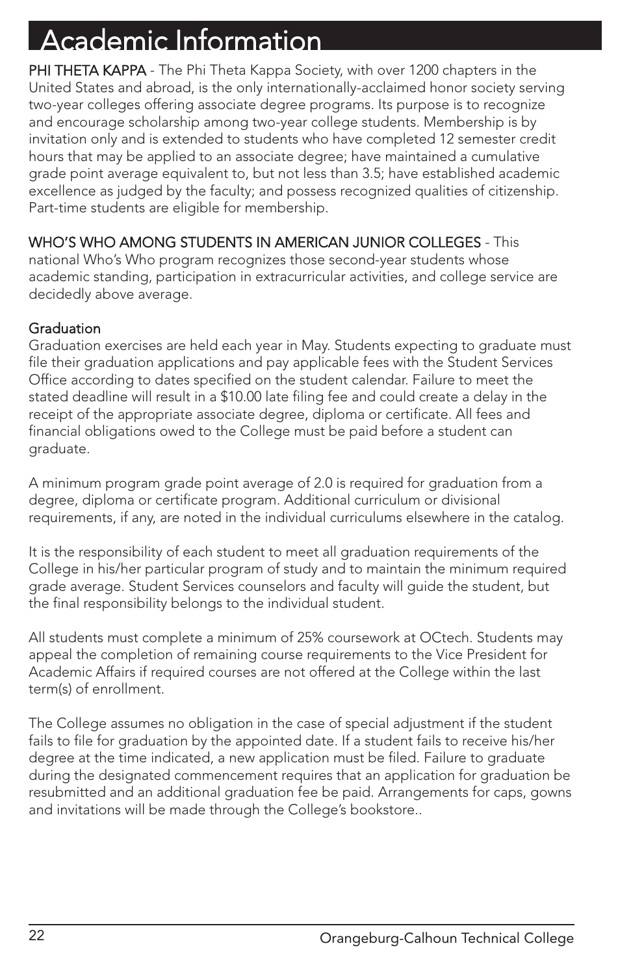# cademic Information

PHI THETA KAPPA - The Phi Theta Kappa Society, with over 1200 chapters in the United States and abroad, is the only internationally-acclaimed honor society serving two-year colleges offering associate degree programs. Its purpose is to recognize and encourage scholarship among two-year college students. Membership is by invitation only and is extended to students who have completed 12 semester credit hours that may be applied to an associate degree; have maintained a cumulative grade point average equivalent to, but not less than 3.5; have established academic excellence as judged by the faculty; and possess recognized qualities of citizenship. Part-time students are eligible for membership.

### WHO'S WHO AMONG STUDENTS IN AMERICAN JUNIOR COLLEGES - This

national Who's Who program recognizes those second-year students whose academic standing, participation in extracurricular activities, and college service are decidedly above average.

### **Graduation**

Graduation exercises are held each year in May. Students expecting to graduate must file their graduation applications and pay applicable fees with the Student Services Office according to dates specified on the student calendar. Failure to meet the stated deadline will result in a \$10.00 late filing fee and could create a delay in the receipt of the appropriate associate degree, diploma or certificate. All fees and financial obligations owed to the College must be paid before a student can graduate.

A minimum program grade point average of 2.0 is required for graduation from a degree, diploma or certificate program. Additional curriculum or divisional requirements, if any, are noted in the individual curriculums elsewhere in the catalog.

It is the responsibility of each student to meet all graduation requirements of the College in his/her particular program of study and to maintain the minimum required grade average. Student Services counselors and faculty will guide the student, but the final responsibility belongs to the individual student.

All students must complete a minimum of 25% coursework at OCtech. Students may appeal the completion of remaining course requirements to the Vice President for Academic Affairs if required courses are not offered at the College within the last term(s) of enrollment.

The College assumes no obligation in the case of special adjustment if the student fails to file for graduation by the appointed date. If a student fails to receive his/her degree at the time indicated, a new application must be filed. Failure to graduate during the designated commencement requires that an application for graduation be resubmitted and an additional graduation fee be paid. Arrangements for caps, gowns and invitations will be made through the College's bookstore..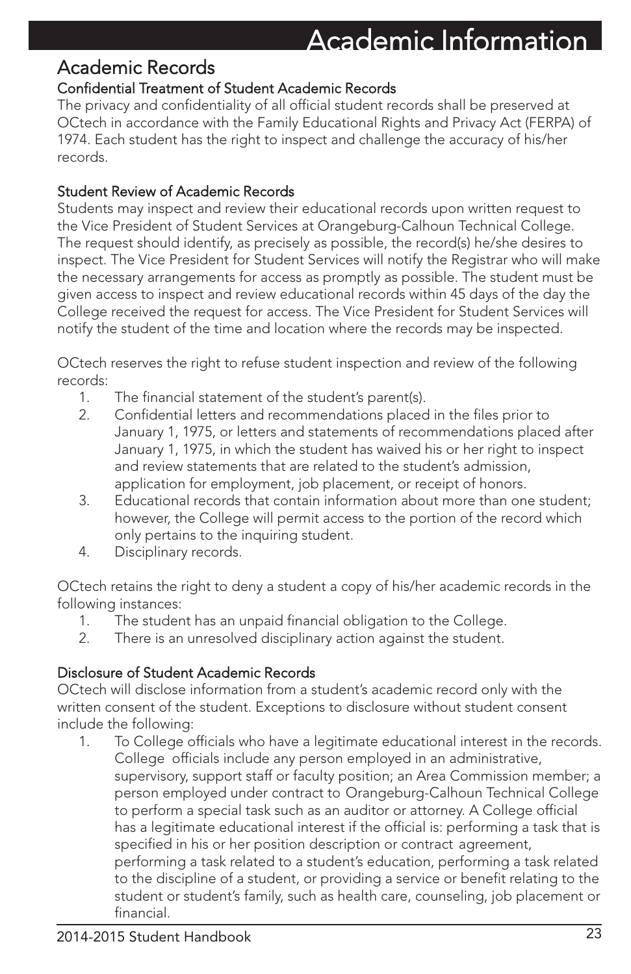### Academic Information

### Academic Records

### Confidential Treatment of Student Academic Records

The privacy and confidentiality of all official student records shall be preserved at OCtech in accordance with the Family Educational Rights and Privacy Act (FERPA) of 1974. Each student has the right to inspect and challenge the accuracy of his/her records.

### Student Review of Academic Records

Students may inspect and review their educational records upon written request to the Vice President of Student Services at Orangeburg-Calhoun Technical College. The request should identify, as precisely as possible, the record(s) he/she desires to inspect. The Vice President for Student Services will notify the Registrar who will make the necessary arrangements for access as promptly as possible. The student must be given access to inspect and review educational records within 45 days of the day the College received the request for access. The Vice President for Student Services will notify the student of the time and location where the records may be inspected.

OCtech reserves the right to refuse student inspection and review of the following records:

- 1. The financial statement of the student's parent(s).
- 2. Confidential letters and recommendations placed in the files prior to January 1, 1975, or letters and statements of recommendations placed after January 1, 1975, in which the student has waived his or her right to inspect and review statements that are related to the student's admission, application for employment, job placement, or receipt of honors.
- 3. Educational records that contain information about more than one student; however, the College will permit access to the portion of the record which only pertains to the inquiring student.
- 4. Disciplinary records.

OCtech retains the right to deny a student a copy of his/her academic records in the following instances:

- 1. The student has an unpaid financial obligation to the College.
- 2. There is an unresolved disciplinary action against the student.

### Disclosure of Student Academic Records

OCtech will disclose information from a student's academic record only with the written consent of the student. Exceptions to disclosure without student consent include the following:

1. To College officials who have a legitimate educational interest in the records. College officials include any person employed in an administrative, supervisory, support staff or faculty position; an Area Commission member; a person employed under contract to Orangeburg-Calhoun Technical College to perform a special task such as an auditor or attorney. A College official has a legitimate educational interest if the official is: performing a task that is specified in his or her position description or contract agreement, performing a task related to a student's education, performing a task related to the discipline of a student, or providing a service or benefit relating to the student or student's family, such as health care, counseling, job placement or financial.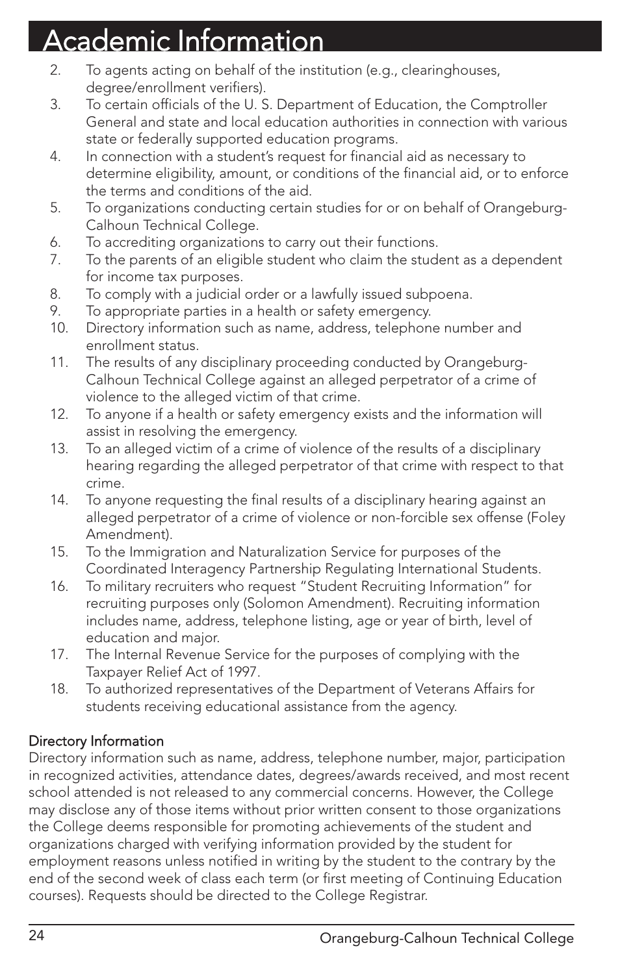# Academic Information

- 2. To agents acting on behalf of the institution (e.g., clearinghouses, degree/enrollment verifiers).
- 3. To certain officials of the U. S. Department of Education, the Comptroller General and state and local education authorities in connection with various state or federally supported education programs.
- 4. In connection with a student's request for financial aid as necessary to determine eligibility, amount, or conditions of the financial aid, or to enforce the terms and conditions of the aid.
- 5. To organizations conducting certain studies for or on behalf of Orangeburg-Calhoun Technical College.
- 6. To accrediting organizations to carry out their functions.
- 7. To the parents of an eligible student who claim the student as a dependent for income tax purposes.
- 8. To comply with a judicial order or a lawfully issued subpoena.
- 9. To appropriate parties in a health or safety emergency.
- 10. Directory information such as name, address, telephone number and enrollment status.
- 11. The results of any disciplinary proceeding conducted by Orangeburg-Calhoun Technical College against an alleged perpetrator of a crime of violence to the alleged victim of that crime.
- 12. To anyone if a health or safety emergency exists and the information will assist in resolving the emergency.
- 13. To an alleged victim of a crime of violence of the results of a disciplinary hearing regarding the alleged perpetrator of that crime with respect to that crime.
- 14. To anyone requesting the final results of a disciplinary hearing against an alleged perpetrator of a crime of violence or non-forcible sex offense (Foley Amendment).
- 15. To the Immigration and Naturalization Service for purposes of the Coordinated Interagency Partnership Regulating International Students.
- 16. To military recruiters who request "Student Recruiting Information" for recruiting purposes only (Solomon Amendment). Recruiting information includes name, address, telephone listing, age or year of birth, level of education and major.
- 17. The Internal Revenue Service for the purposes of complying with the Taxpayer Relief Act of 1997.
- 18. To authorized representatives of the Department of Veterans Affairs for students receiving educational assistance from the agency.

### Directory Information

Directory information such as name, address, telephone number, major, participation in recognized activities, attendance dates, degrees/awards received, and most recent school attended is not released to any commercial concerns. However, the College may disclose any of those items without prior written consent to those organizations the College deems responsible for promoting achievements of the student and organizations charged with verifying information provided by the student for employment reasons unless notified in writing by the student to the contrary by the end of the second week of class each term (or first meeting of Continuing Education courses). Requests should be directed to the College Registrar.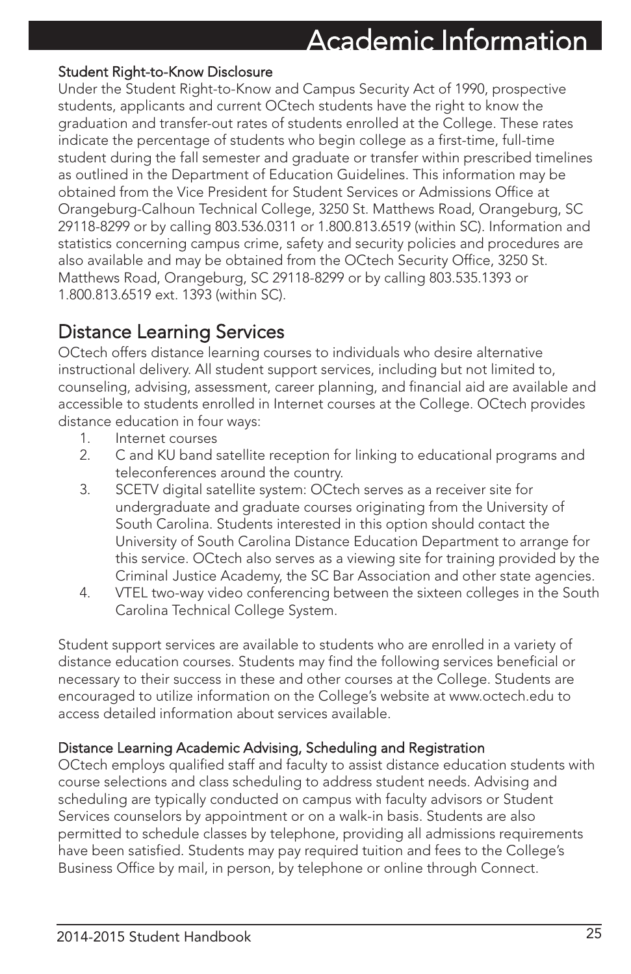#### Student Right-to-Know Disclosure

Under the Student Right-to-Know and Campus Security Act of 1990, prospective students, applicants and current OCtech students have the right to know the graduation and transfer-out rates of students enrolled at the College. These rates indicate the percentage of students who begin college as a first-time, full-time student during the fall semester and graduate or transfer within prescribed timelines as outlined in the Department of Education Guidelines. This information may be obtained from the Vice President for Student Services or Admissions Office at Orangeburg-Calhoun Technical College, 3250 St. Matthews Road, Orangeburg, SC 29118-8299 or by calling 803.536.0311 or 1.800.813.6519 (within SC). Information and statistics concerning campus crime, safety and security policies and procedures are also available and may be obtained from the OCtech Security Office, 3250 St. Matthews Road, Orangeburg, SC 29118-8299 or by calling 803.535.1393 or 1.800.813.6519 ext. 1393 (within SC).

### Distance Learning Services

OCtech offers distance learning courses to individuals who desire alternative instructional delivery. All student support services, including but not limited to, counseling, advising, assessment, career planning, and financial aid are available and accessible to students enrolled in Internet courses at the College. OCtech provides distance education in four ways:

- 1. Internet courses
- 2. C and KU band satellite reception for linking to educational programs and teleconferences around the country.
- 3. SCETV digital satellite system: OCtech serves as a receiver site for undergraduate and graduate courses originating from the University of South Carolina. Students interested in this option should contact the University of South Carolina Distance Education Department to arrange for this service. OCtech also serves as a viewing site for training provided by the Criminal Justice Academy, the SC Bar Association and other state agencies.
- 4. VTEL two-way video conferencing between the sixteen colleges in the South Carolina Technical College System.

Student support services are available to students who are enrolled in a variety of distance education courses. Students may find the following services beneficial or necessary to their success in these and other courses at the College. Students are encouraged to utilize information on the College's website at www.octech.edu to access detailed information about services available.

### Distance Learning Academic Advising, Scheduling and Registration

OCtech employs qualified staff and faculty to assist distance education students with course selections and class scheduling to address student needs. Advising and scheduling are typically conducted on campus with faculty advisors or Student Services counselors by appointment or on a walk-in basis. Students are also permitted to schedule classes by telephone, providing all admissions requirements have been satisfied. Students may pay required tuition and fees to the College's Business Office by mail, in person, by telephone or online through Connect.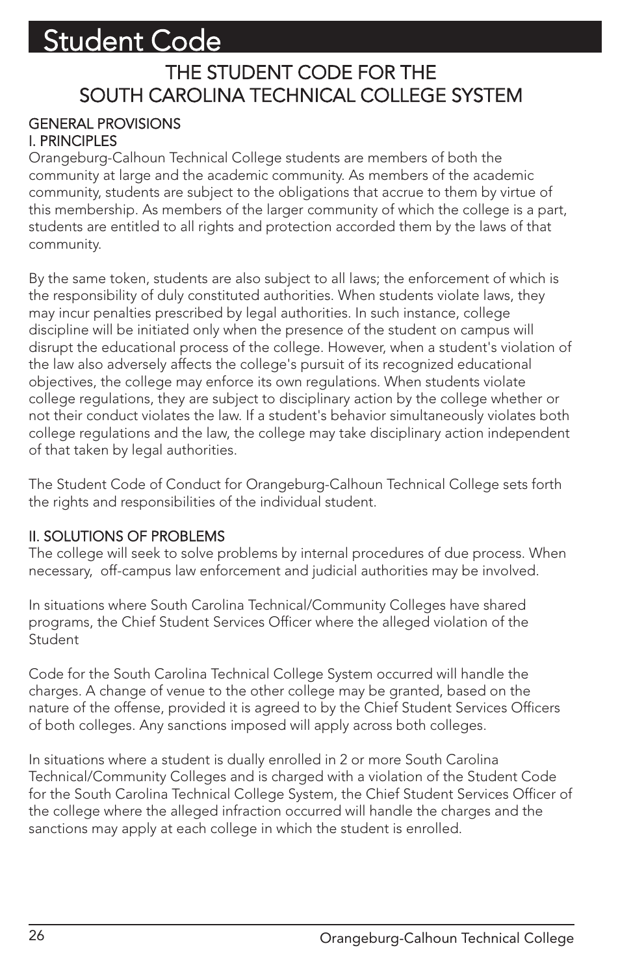### THE STUDENT CODE FOR THE SOUTH CAROLINA TECHNICAL COLLEGE SYSTEM

### GENERAL PROVISIONS I. PRINCIPLES

Orangeburg-Calhoun Technical College students are members of both the community at large and the academic community. As members of the academic community, students are subject to the obligations that accrue to them by virtue of this membership. As members of the larger community of which the college is a part, students are entitled to all rights and protection accorded them by the laws of that community.

By the same token, students are also subject to all laws; the enforcement of which is the responsibility of duly constituted authorities. When students violate laws, they may incur penalties prescribed by legal authorities. In such instance, college discipline will be initiated only when the presence of the student on campus will disrupt the educational process of the college. However, when a student's violation of the law also adversely affects the college's pursuit of its recognized educational objectives, the college may enforce its own regulations. When students violate college regulations, they are subject to disciplinary action by the college whether or not their conduct violates the law. If a student's behavior simultaneously violates both college regulations and the law, the college may take disciplinary action independent of that taken by legal authorities.

The Student Code of Conduct for Orangeburg-Calhoun Technical College sets forth the rights and responsibilities of the individual student.

### II. SOLUTIONS OF PROBLEMS

The college will seek to solve problems by internal procedures of due process. When necessary, off-campus law enforcement and judicial authorities may be involved.

In situations where South Carolina Technical/Community Colleges have shared programs, the Chief Student Services Officer where the alleged violation of the **Student** 

Code for the South Carolina Technical College System occurred will handle the charges. A change of venue to the other college may be granted, based on the nature of the offense, provided it is agreed to by the Chief Student Services Officers of both colleges. Any sanctions imposed will apply across both colleges.

In situations where a student is dually enrolled in 2 or more South Carolina Technical/Community Colleges and is charged with a violation of the Student Code for the South Carolina Technical College System, the Chief Student Services Officer of the college where the alleged infraction occurred will handle the charges and the sanctions may apply at each college in which the student is enrolled.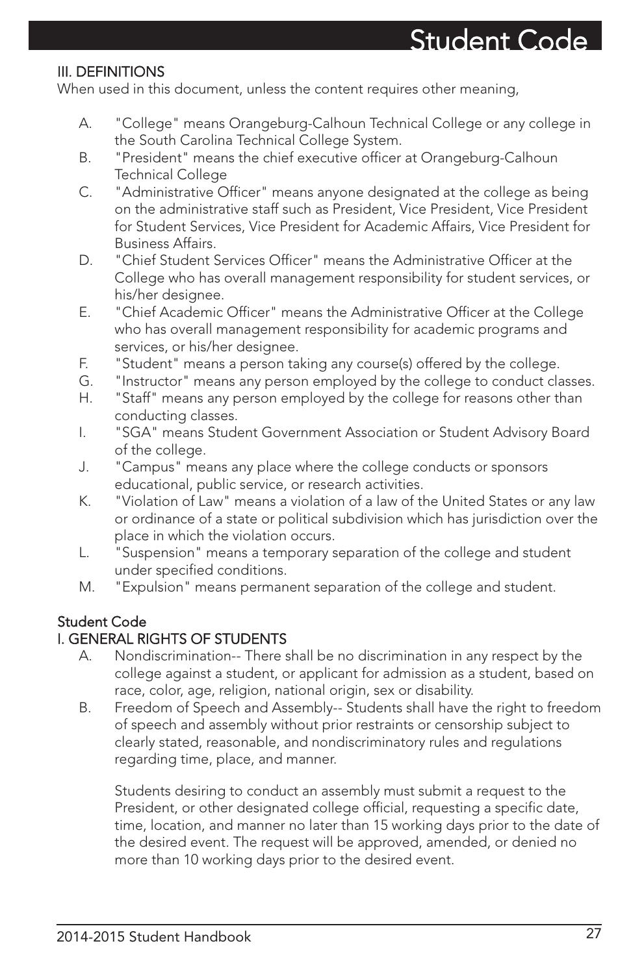### III. DEFINITIONS

When used in this document, unless the content requires other meaning,

- A. "College" means Orangeburg-Calhoun Technical College or any college in the South Carolina Technical College System.
- B. "President" means the chief executive officer at Orangeburg-Calhoun Technical College
- C. "Administrative Officer" means anyone designated at the college as being on the administrative staff such as President, Vice President, Vice President for Student Services, Vice President for Academic Affairs, Vice President for Business Affairs.
- D. "Chief Student Services Officer" means the Administrative Officer at the College who has overall management responsibility for student services, or his/her designee.
- E. "Chief Academic Officer" means the Administrative Officer at the College who has overall management responsibility for academic programs and services, or his/her designee.
- F. "Student" means a person taking any course(s) offered by the college.
- G. "Instructor" means any person employed by the college to conduct classes.
- H. "Staff" means any person employed by the college for reasons other than conducting classes.
- I. "SGA" means Student Government Association or Student Advisory Board of the college.
- J. "Campus" means any place where the college conducts or sponsors educational, public service, or research activities.
- K. "Violation of Law" means a violation of a law of the United States or any law or ordinance of a state or political subdivision which has jurisdiction over the place in which the violation occurs.
- L. "Suspension" means a temporary separation of the college and student under specified conditions.
- M. "Expulsion" means permanent separation of the college and student.

### Student Code

### I. GENERAL RIGHTS OF STUDENTS

- A. Nondiscrimination-- There shall be no discrimination in any respect by the college against a student, or applicant for admission as a student, based on race, color, age, religion, national origin, sex or disability.
- B. Freedom of Speech and Assembly-- Students shall have the right to freedom of speech and assembly without prior restraints or censorship subject to clearly stated, reasonable, and nondiscriminatory rules and regulations regarding time, place, and manner.

Students desiring to conduct an assembly must submit a request to the President, or other designated college official, requesting a specific date, time, location, and manner no later than 15 working days prior to the date of the desired event. The request will be approved, amended, or denied no more than 10 working days prior to the desired event.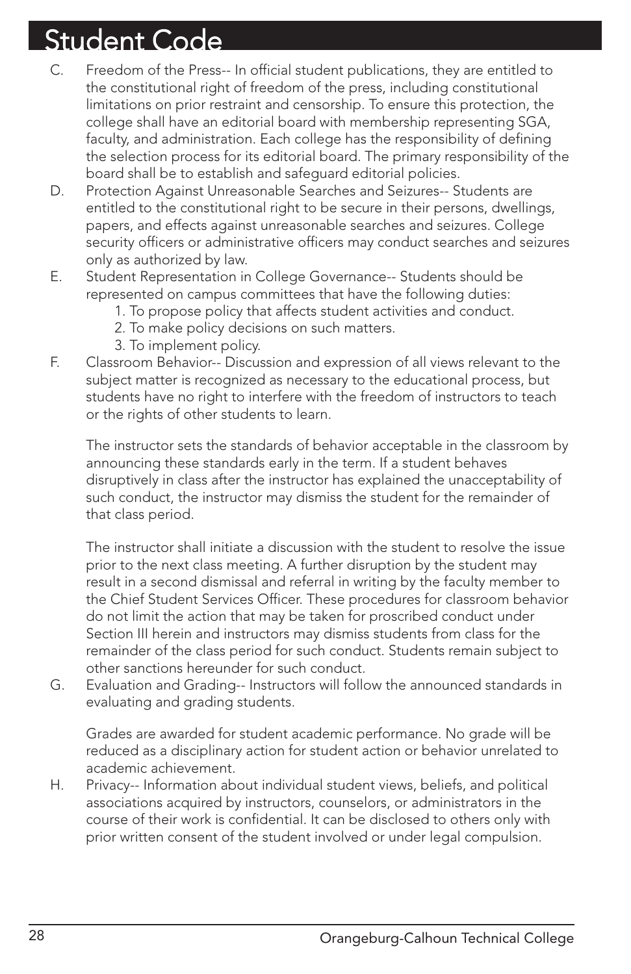- C. Freedom of the Press-- In official student publications, they are entitled to the constitutional right of freedom of the press, including constitutional limitations on prior restraint and censorship. To ensure this protection, the college shall have an editorial board with membership representing SGA, faculty, and administration. Each college has the responsibility of defining the selection process for its editorial board. The primary responsibility of the board shall be to establish and safeguard editorial policies.
- D. Protection Against Unreasonable Searches and Seizures-- Students are entitled to the constitutional right to be secure in their persons, dwellings, papers, and effects against unreasonable searches and seizures. College security officers or administrative officers may conduct searches and seizures only as authorized by law.
- E. Student Representation in College Governance-- Students should be represented on campus committees that have the following duties:
	- 1. To propose policy that affects student activities and conduct.
	- 2. To make policy decisions on such matters.
	- 3. To implement policy.
- F. Classroom Behavior-- Discussion and expression of all views relevant to the subject matter is recognized as necessary to the educational process, but students have no right to interfere with the freedom of instructors to teach or the rights of other students to learn.

The instructor sets the standards of behavior acceptable in the classroom by announcing these standards early in the term. If a student behaves disruptively in class after the instructor has explained the unacceptability of such conduct, the instructor may dismiss the student for the remainder of that class period.

The instructor shall initiate a discussion with the student to resolve the issue prior to the next class meeting. A further disruption by the student may result in a second dismissal and referral in writing by the faculty member to the Chief Student Services Officer. These procedures for classroom behavior do not limit the action that may be taken for proscribed conduct under Section III herein and instructors may dismiss students from class for the remainder of the class period for such conduct. Students remain subject to other sanctions hereunder for such conduct.

G. Evaluation and Grading-- Instructors will follow the announced standards in evaluating and grading students.

Grades are awarded for student academic performance. No grade will be reduced as a disciplinary action for student action or behavior unrelated to academic achievement.

H. Privacy-- Information about individual student views, beliefs, and political associations acquired by instructors, counselors, or administrators in the course of their work is confidential. It can be disclosed to others only with prior written consent of the student involved or under legal compulsion.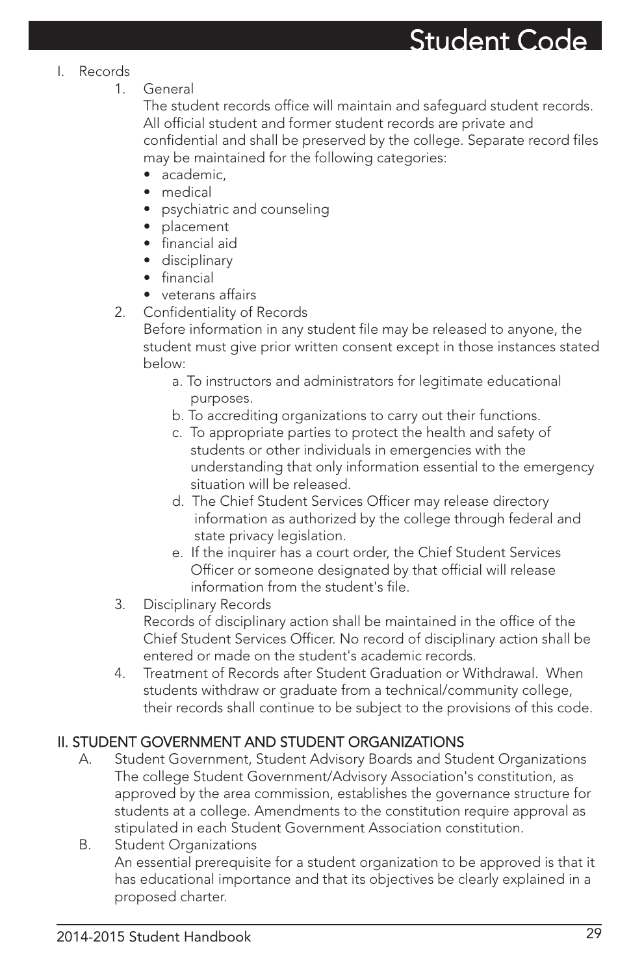#### I. Records

1. General

The student records office will maintain and safeguard student records. All official student and former student records are private and confidential and shall be preserved by the college. Separate record files may be maintained for the following categories:

- academic.
- medical
- psychiatric and counseling
- placement
- financial aid
- disciplinary
- financial
- veterans affairs
- 2. Confidentiality of Records

Before information in any student file may be released to anyone, the student must give prior written consent except in those instances stated below:

- a. To instructors and administrators for legitimate educational purposes.
- b. To accrediting organizations to carry out their functions.
- c. To appropriate parties to protect the health and safety of students or other individuals in emergencies with the understanding that only information essential to the emergency situation will be released.
- d. The Chief Student Services Officer may release directory information as authorized by the college through federal and state privacy legislation.
- e. If the inquirer has a court order, the Chief Student Services Officer or someone designated by that official will release information from the student's file.
- 3. Disciplinary Records

Records of disciplinary action shall be maintained in the office of the Chief Student Services Officer. No record of disciplinary action shall be entered or made on the student's academic records.

4. Treatment of Records after Student Graduation or Withdrawal. When students withdraw or graduate from a technical/community college, their records shall continue to be subject to the provisions of this code.

### II. STUDENT GOVERNMENT AND STUDENT ORGANIZATIONS

- A. Student Government, Student Advisory Boards and Student Organizations The college Student Government/Advisory Association's constitution, as approved by the area commission, establishes the governance structure for students at a college. Amendments to the constitution require approval as stipulated in each Student Government Association constitution.
- B. Student Organizations An essential prerequisite for a student organization to be approved is that it has educational importance and that its objectives be clearly explained in a proposed charter.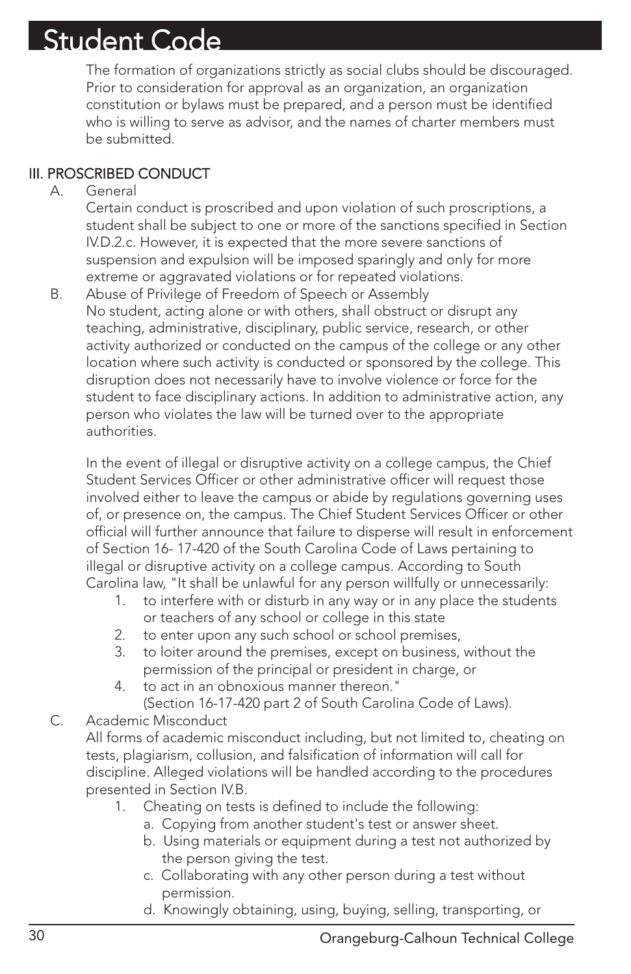The formation of organizations strictly as social clubs should be discouraged. Prior to consideration for approval as an organization, an organization constitution or bylaws must be prepared, and a person must be identified who is willing to serve as advisor, and the names of charter members must be submitted.

### III. PROSCRIBED CONDUCT

#### A. General

Certain conduct is proscribed and upon violation of such proscriptions, a student shall be subject to one or more of the sanctions specified in Section IV.D.2.c. However, it is expected that the more severe sanctions of suspension and expulsion will be imposed sparingly and only for more extreme or aggravated violations or for repeated violations.

B. Abuse of Privilege of Freedom of Speech or Assembly No student, acting alone or with others, shall obstruct or disrupt any teaching, administrative, disciplinary, public service, research, or other activity authorized or conducted on the campus of the college or any other location where such activity is conducted or sponsored by the college. This disruption does not necessarily have to involve violence or force for the student to face disciplinary actions. In addition to administrative action, any person who violates the law will be turned over to the appropriate authorities.

In the event of illegal or disruptive activity on a college campus, the Chief Student Services Officer or other administrative officer will request those involved either to leave the campus or abide by regulations governing uses of, or presence on, the campus. The Chief Student Services Officer or other official will further announce that failure to disperse will result in enforcement of Section 16- 17-420 of the South Carolina Code of Laws pertaining to illegal or disruptive activity on a college campus. According to South Carolina law, "It shall be unlawful for any person willfully or unnecessarily:

- 1. to interfere with or disturb in any way or in any place the students or teachers of any school or college in this state
- 2. to enter upon any such school or school premises,
- 3. to loiter around the premises, except on business, without the permission of the principal or president in charge, or
- 4. to act in an obnoxious manner thereon." (Section 16-17-420 part 2 of South Carolina Code of Laws).

### C. Academic Misconduct

All forms of academic misconduct including, but not limited to, cheating on tests, plagiarism, collusion, and falsification of information will call for discipline. Alleged violations will be handled according to the procedures presented in Section IV.B.

- 1. Cheating on tests is defined to include the following:
	- a. Copying from another student's test or answer sheet.
	- b. Using materials or equipment during a test not authorized by the person giving the test.
	- c. Collaborating with any other person during a test without permission.
	- d. Knowingly obtaining, using, buying, selling, transporting, or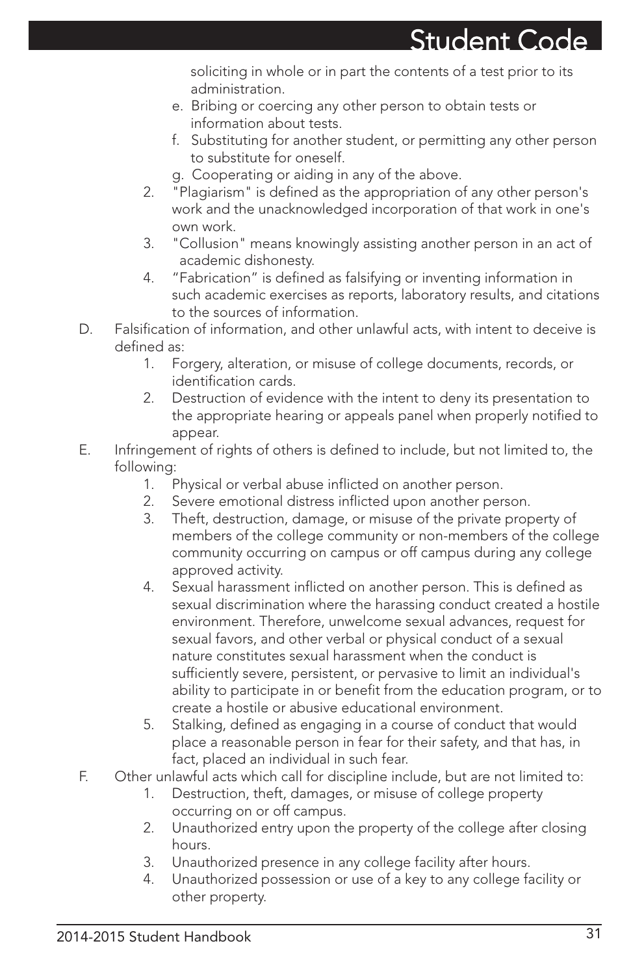soliciting in whole or in part the contents of a test prior to its administration.

- e. Bribing or coercing any other person to obtain tests or information about tests.
- f. Substituting for another student, or permitting any other person to substitute for oneself.
- g. Cooperating or aiding in any of the above.
- 2. "Plagiarism" is defined as the appropriation of any other person's work and the unacknowledged incorporation of that work in one's own work.
- 3. "Collusion" means knowingly assisting another person in an act of academic dishonesty.
- 4. "Fabrication" is defined as falsifying or inventing information in such academic exercises as reports, laboratory results, and citations to the sources of information.
- D. Falsification of information, and other unlawful acts, with intent to deceive is defined as:
	- 1. Forgery, alteration, or misuse of college documents, records, or identification cards.
	- 2. Destruction of evidence with the intent to deny its presentation to the appropriate hearing or appeals panel when properly notified to appear.
- E. Infringement of rights of others is defined to include, but not limited to, the following:
	- 1. Physical or verbal abuse inflicted on another person.
	- 2. Severe emotional distress inflicted upon another person.
	- 3. Theft, destruction, damage, or misuse of the private property of members of the college community or non-members of the college community occurring on campus or off campus during any college approved activity.
	- 4. Sexual harassment inflicted on another person. This is defined as sexual discrimination where the harassing conduct created a hostile environment. Therefore, unwelcome sexual advances, request for sexual favors, and other verbal or physical conduct of a sexual nature constitutes sexual harassment when the conduct is sufficiently severe, persistent, or pervasive to limit an individual's ability to participate in or benefit from the education program, or to create a hostile or abusive educational environment.
	- 5. Stalking, defined as engaging in a course of conduct that would place a reasonable person in fear for their safety, and that has, in fact, placed an individual in such fear.
- F. Other unlawful acts which call for discipline include, but are not limited to:
	- 1. Destruction, theft, damages, or misuse of college property occurring on or off campus.
	- 2. Unauthorized entry upon the property of the college after closing hours.
	- 3. Unauthorized presence in any college facility after hours.
	- 4. Unauthorized possession or use of a key to any college facility or other property.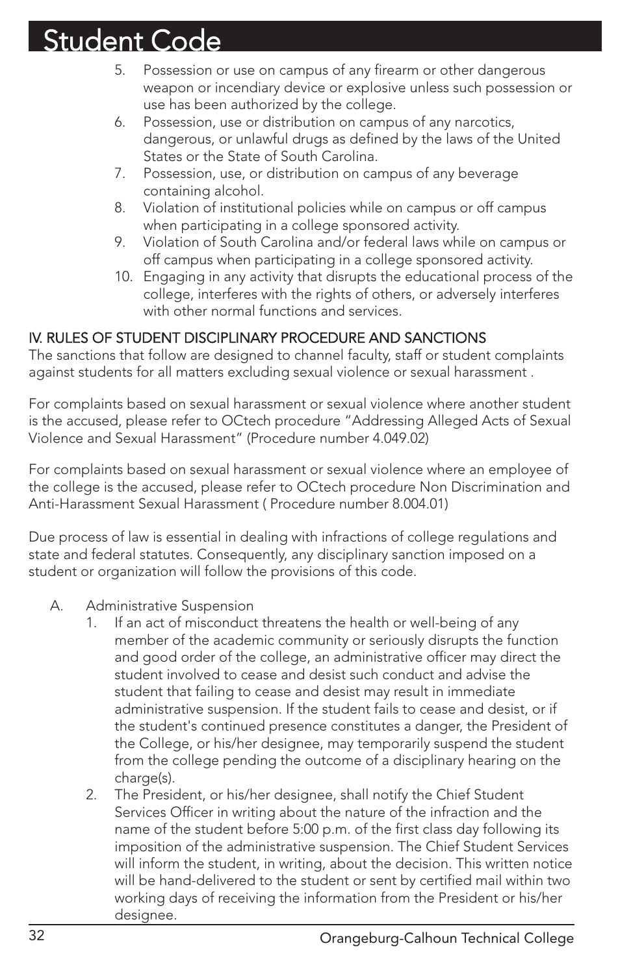- 5. Possession or use on campus of any firearm or other dangerous weapon or incendiary device or explosive unless such possession or use has been authorized by the college.
- 6. Possession, use or distribution on campus of any narcotics, dangerous, or unlawful drugs as defined by the laws of the United States or the State of South Carolina.
- 7. Possession, use, or distribution on campus of any beverage containing alcohol.
- 8. Violation of institutional policies while on campus or off campus when participating in a college sponsored activity.
- 9. Violation of South Carolina and/or federal laws while on campus or off campus when participating in a college sponsored activity.
- 10. Engaging in any activity that disrupts the educational process of the college, interferes with the rights of others, or adversely interferes with other normal functions and services.

### IV. RULES OF STUDENT DISCIPLINARY PROCEDURE AND SANCTIONS

The sanctions that follow are designed to channel faculty, staff or student complaints against students for all matters excluding sexual violence or sexual harassment .

For complaints based on sexual harassment or sexual violence where another student is the accused, please refer to OCtech procedure "Addressing Alleged Acts of Sexual Violence and Sexual Harassment" (Procedure number 4.049.02)

For complaints based on sexual harassment or sexual violence where an employee of the college is the accused, please refer to OCtech procedure Non Discrimination and Anti-Harassment Sexual Harassment ( Procedure number 8.004.01)

Due process of law is essential in dealing with infractions of college regulations and state and federal statutes. Consequently, any disciplinary sanction imposed on a student or organization will follow the provisions of this code.

- A. Administrative Suspension
	- If an act of misconduct threatens the health or well-being of any member of the academic community or seriously disrupts the function and good order of the college, an administrative officer may direct the student involved to cease and desist such conduct and advise the student that failing to cease and desist may result in immediate administrative suspension. If the student fails to cease and desist, or if the student's continued presence constitutes a danger, the President of the College, or his/her designee, may temporarily suspend the student from the college pending the outcome of a disciplinary hearing on the charge(s).
	- 2. The President, or his/her designee, shall notify the Chief Student Services Officer in writing about the nature of the infraction and the name of the student before 5:00 p.m. of the first class day following its imposition of the administrative suspension. The Chief Student Services will inform the student, in writing, about the decision. This written notice will be hand-delivered to the student or sent by certified mail within two working days of receiving the information from the President or his/her designee.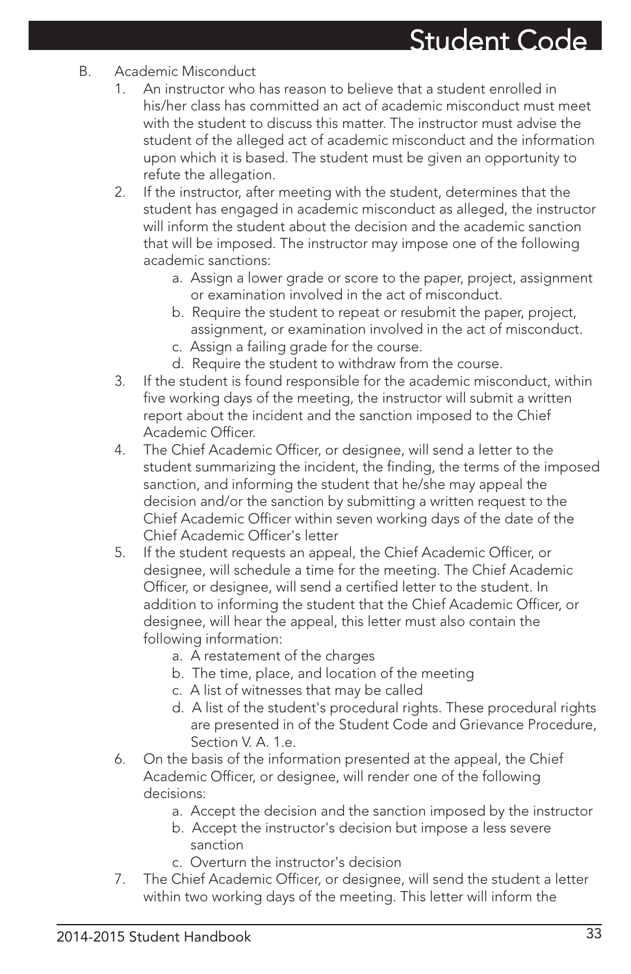- B. Academic Misconduct
	- 1. An instructor who has reason to believe that a student enrolled in his/her class has committed an act of academic misconduct must meet with the student to discuss this matter. The instructor must advise the student of the alleged act of academic misconduct and the information upon which it is based. The student must be given an opportunity to refute the allegation.
	- 2. If the instructor, after meeting with the student, determines that the student has engaged in academic misconduct as alleged, the instructor will inform the student about the decision and the academic sanction that will be imposed. The instructor may impose one of the following academic sanctions:
		- a. Assign a lower grade or score to the paper, project, assignment or examination involved in the act of misconduct.
		- b. Require the student to repeat or resubmit the paper, project, assignment, or examination involved in the act of misconduct.
		- c. Assign a failing grade for the course.
		- d. Require the student to withdraw from the course.
	- 3. If the student is found responsible for the academic misconduct, within five working days of the meeting, the instructor will submit a written report about the incident and the sanction imposed to the Chief Academic Officer.
	- 4. The Chief Academic Officer, or designee, will send a letter to the student summarizing the incident, the finding, the terms of the imposed sanction, and informing the student that he/she may appeal the decision and/or the sanction by submitting a written request to the Chief Academic Officer within seven working days of the date of the Chief Academic Officer's letter
	- 5. If the student requests an appeal, the Chief Academic Officer, or designee, will schedule a time for the meeting. The Chief Academic Officer, or designee, will send a certified letter to the student. In addition to informing the student that the Chief Academic Officer, or designee, will hear the appeal, this letter must also contain the following information:
		- a. A restatement of the charges
		- b. The time, place, and location of the meeting
		- c. A list of witnesses that may be called
		- d. A list of the student's procedural rights. These procedural rights are presented in of the Student Code and Grievance Procedure, Section V. A. 1.e.
	- 6. On the basis of the information presented at the appeal, the Chief Academic Officer, or designee, will render one of the following decisions:
		- a. Accept the decision and the sanction imposed by the instructor
		- b. Accept the instructor's decision but impose a less severe sanction
		- c. Overturn the instructor's decision
	- 7. The Chief Academic Officer, or designee, will send the student a letter within two working days of the meeting. This letter will inform the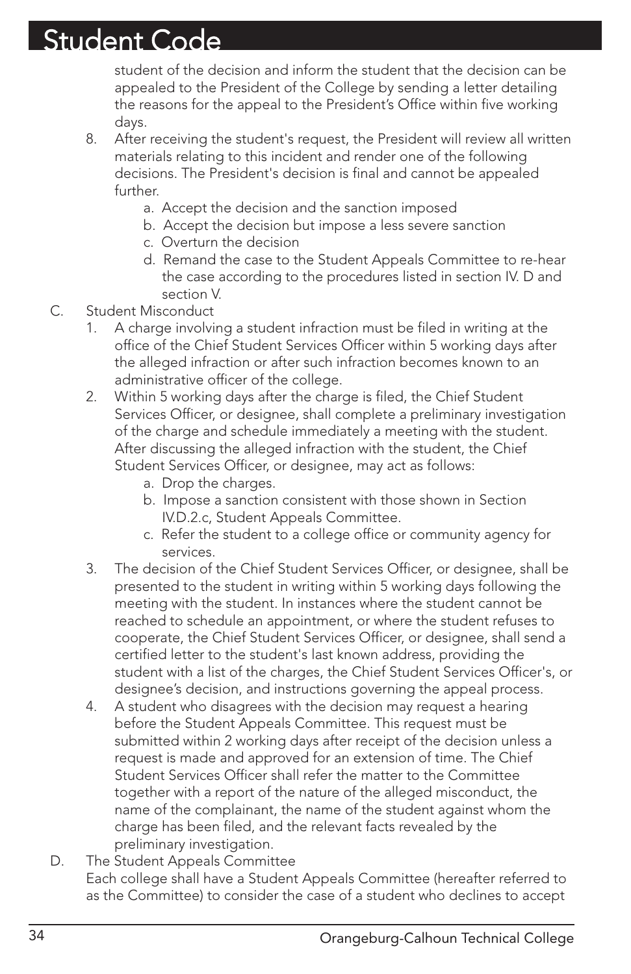student of the decision and inform the student that the decision can be appealed to the President of the College by sending a letter detailing the reasons for the appeal to the President's Office within five working days.

- 8. After receiving the student's request, the President will review all written materials relating to this incident and render one of the following decisions. The President's decision is final and cannot be appealed further.
	- a. Accept the decision and the sanction imposed
	- b. Accept the decision but impose a less severe sanction
	- c. Overturn the decision
	- d. Remand the case to the Student Appeals Committee to re-hear the case according to the procedures listed in section IV. D and section V.
- C. Student Misconduct
	- 1. A charge involving a student infraction must be filed in writing at the office of the Chief Student Services Officer within 5 working days after the alleged infraction or after such infraction becomes known to an administrative officer of the college.
	- 2. Within 5 working days after the charge is filed, the Chief Student Services Officer, or designee, shall complete a preliminary investigation of the charge and schedule immediately a meeting with the student. After discussing the alleged infraction with the student, the Chief Student Services Officer, or designee, may act as follows:
		- a. Drop the charges.
		- b. Impose a sanction consistent with those shown in Section IV.D.2.c, Student Appeals Committee.
		- c. Refer the student to a college office or community agency for services.
	- 3. The decision of the Chief Student Services Officer, or designee, shall be presented to the student in writing within 5 working days following the meeting with the student. In instances where the student cannot be reached to schedule an appointment, or where the student refuses to cooperate, the Chief Student Services Officer, or designee, shall send a certified letter to the student's last known address, providing the student with a list of the charges, the Chief Student Services Officer's, or designee's decision, and instructions governing the appeal process.
	- 4. A student who disagrees with the decision may request a hearing before the Student Appeals Committee. This request must be submitted within 2 working days after receipt of the decision unless a request is made and approved for an extension of time. The Chief Student Services Officer shall refer the matter to the Committee together with a report of the nature of the alleged misconduct, the name of the complainant, the name of the student against whom the charge has been filed, and the relevant facts revealed by the preliminary investigation.
- D. The Student Appeals Committee Each college shall have a Student Appeals Committee (hereafter referred to as the Committee) to consider the case of a student who declines to accept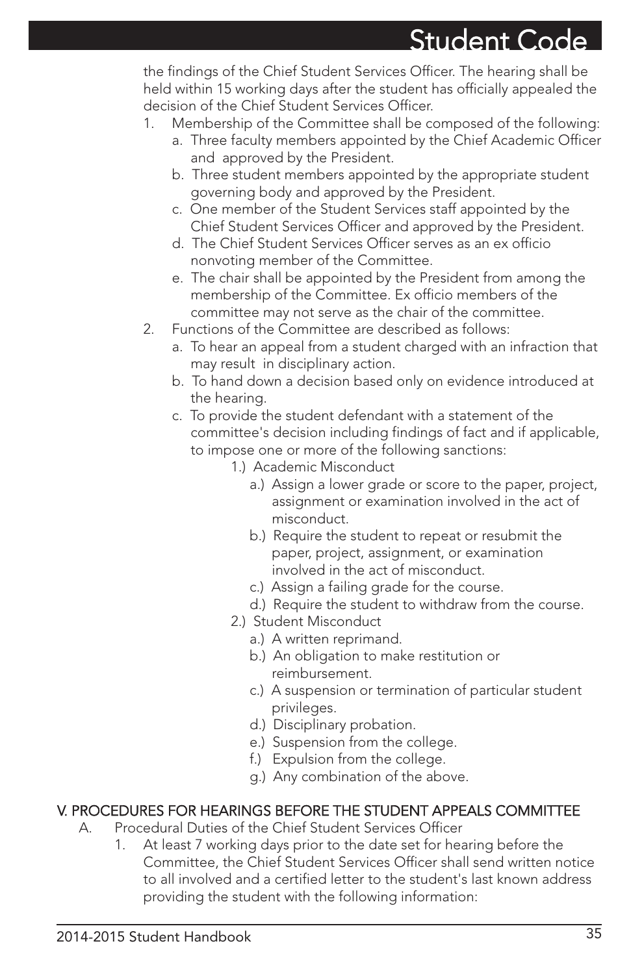the findings of the Chief Student Services Officer. The hearing shall be held within 15 working days after the student has officially appealed the decision of the Chief Student Services Officer.

- 1. Membership of the Committee shall be composed of the following:
	- a. Three faculty members appointed by the Chief Academic Officer and approved by the President.
	- b. Three student members appointed by the appropriate student governing body and approved by the President.
	- c. One member of the Student Services staff appointed by the Chief Student Services Officer and approved by the President.
	- d. The Chief Student Services Officer serves as an ex officio nonvoting member of the Committee.
	- e. The chair shall be appointed by the President from among the membership of the Committee. Ex officio members of the committee may not serve as the chair of the committee.
- 2. Functions of the Committee are described as follows:
	- a. To hear an appeal from a student charged with an infraction that may result in disciplinary action.
	- b. To hand down a decision based only on evidence introduced at the hearing.
	- c. To provide the student defendant with a statement of the committee's decision including findings of fact and if applicable, to impose one or more of the following sanctions:
		- 1.) Academic Misconduct
			- a.) Assign a lower grade or score to the paper, project, assignment or examination involved in the act of misconduct.
			- b.) Require the student to repeat or resubmit the paper, project, assignment, or examination involved in the act of misconduct.
			- c.) Assign a failing grade for the course.
			- d.) Require the student to withdraw from the course.
		- 2.) Student Misconduct
			- a.) A written reprimand.
			- b.) An obligation to make restitution or reimbursement.
			- c.) A suspension or termination of particular student privileges.
			- d.) Disciplinary probation.
			- e.) Suspension from the college.
			- f.) Expulsion from the college.
			- g.) Any combination of the above.

### V. PROCEDURES FOR HEARINGS BEFORE THE STUDENT APPEALS COMMITTEE

- A. Procedural Duties of the Chief Student Services Officer
	- 1. At least 7 working days prior to the date set for hearing before the Committee, the Chief Student Services Officer shall send written notice to all involved and a certified letter to the student's last known address providing the student with the following information: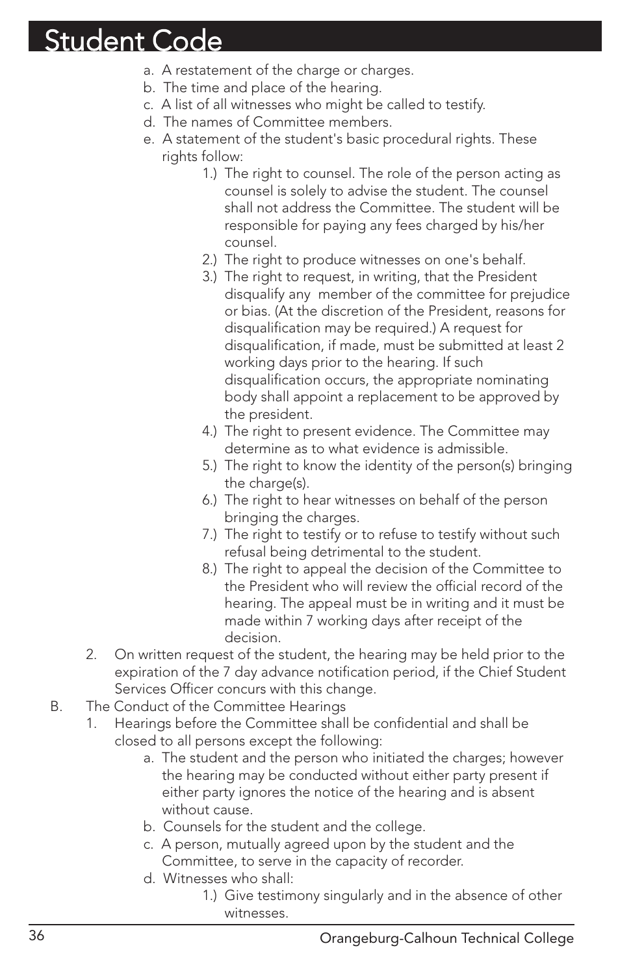- a. A restatement of the charge or charges.
- b. The time and place of the hearing.
- c. A list of all witnesses who might be called to testify.
- d. The names of Committee members.
- e. A statement of the student's basic procedural rights. These rights follow:
	- 1.) The right to counsel. The role of the person acting as counsel is solely to advise the student. The counsel shall not address the Committee. The student will be responsible for paying any fees charged by his/her counsel.
	- 2.) The right to produce witnesses on one's behalf.
	- 3.) The right to request, in writing, that the President disqualify any member of the committee for prejudice or bias. (At the discretion of the President, reasons for disqualification may be required.) A request for disqualification, if made, must be submitted at least 2 working days prior to the hearing. If such disqualification occurs, the appropriate nominating body shall appoint a replacement to be approved by the president.
	- 4.) The right to present evidence. The Committee may determine as to what evidence is admissible.
	- 5.) The right to know the identity of the person(s) bringing the charge(s).
	- 6.) The right to hear witnesses on behalf of the person bringing the charges.
	- 7.) The right to testify or to refuse to testify without such refusal being detrimental to the student.
	- 8.) The right to appeal the decision of the Committee to the President who will review the official record of the hearing. The appeal must be in writing and it must be made within 7 working days after receipt of the decision.
- 2. On written request of the student, the hearing may be held prior to the expiration of the 7 day advance notification period, if the Chief Student Services Officer concurs with this change.
- B. The Conduct of the Committee Hearings
	- Hearings before the Committee shall be confidential and shall be closed to all persons except the following:
		- a. The student and the person who initiated the charges; however the hearing may be conducted without either party present if either party ignores the notice of the hearing and is absent without cause.
		- b. Counsels for the student and the college.
		- c. A person, mutually agreed upon by the student and the Committee, to serve in the capacity of recorder.
		- d. Witnesses who shall:
			- 1.) Give testimony singularly and in the absence of other witnesses.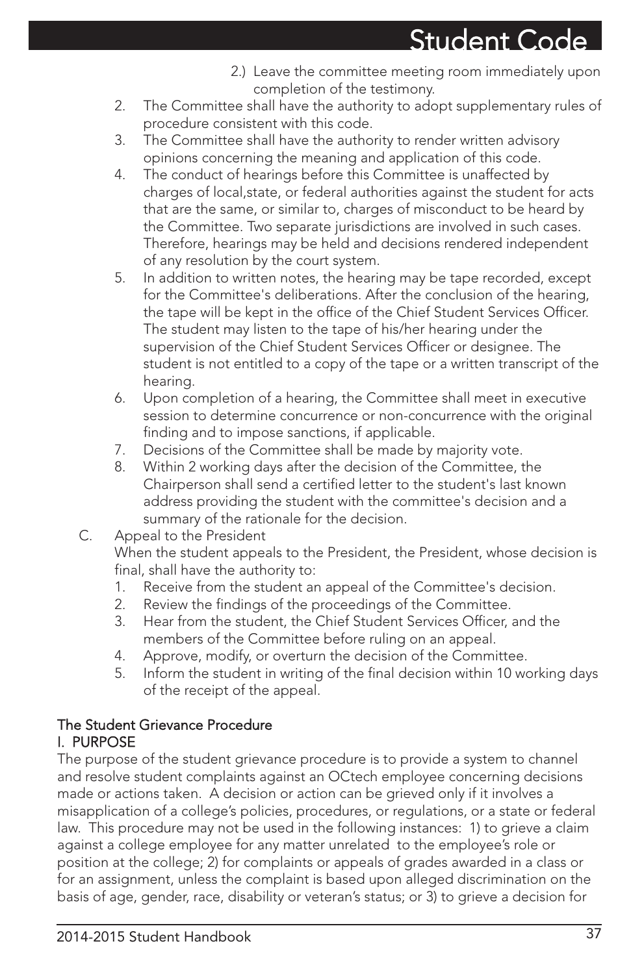- 2.) Leave the committee meeting room immediately upon completion of the testimony.
- 2. The Committee shall have the authority to adopt supplementary rules of procedure consistent with this code.
- 3. The Committee shall have the authority to render written advisory opinions concerning the meaning and application of this code.
- 4. The conduct of hearings before this Committee is unaffected by charges of local,state, or federal authorities against the student for acts that are the same, or similar to, charges of misconduct to be heard by the Committee. Two separate jurisdictions are involved in such cases. Therefore, hearings may be held and decisions rendered independent of any resolution by the court system.
- 5. In addition to written notes, the hearing may be tape recorded, except for the Committee's deliberations. After the conclusion of the hearing, the tape will be kept in the office of the Chief Student Services Officer. The student may listen to the tape of his/her hearing under the supervision of the Chief Student Services Officer or designee. The student is not entitled to a copy of the tape or a written transcript of the hearing.
- 6. Upon completion of a hearing, the Committee shall meet in executive session to determine concurrence or non-concurrence with the original finding and to impose sanctions, if applicable.
- 7. Decisions of the Committee shall be made by majority vote.
- 8. Within 2 working days after the decision of the Committee, the Chairperson shall send a certified letter to the student's last known address providing the student with the committee's decision and a summary of the rationale for the decision.
- C. Appeal to the President

When the student appeals to the President, the President, whose decision is final, shall have the authority to:

- 1. Receive from the student an appeal of the Committee's decision.
- 2. Review the findings of the proceedings of the Committee.
- 3. Hear from the student, the Chief Student Services Officer, and the members of the Committee before ruling on an appeal.
- 4. Approve, modify, or overturn the decision of the Committee.
- 5. Inform the student in writing of the final decision within 10 working days of the receipt of the appeal.

### The Student Grievance Procedure I. PURPOSE

The purpose of the student grievance procedure is to provide a system to channel and resolve student complaints against an OCtech employee concerning decisions made or actions taken. A decision or action can be grieved only if it involves a misapplication of a college's policies, procedures, or regulations, or a state or federal law. This procedure may not be used in the following instances: 1) to grieve a claim against a college employee for any matter unrelated to the employee's role or position at the college; 2) for complaints or appeals of grades awarded in a class or for an assignment, unless the complaint is based upon alleged discrimination on the basis of age, gender, race, disability or veteran's status; or 3) to grieve a decision for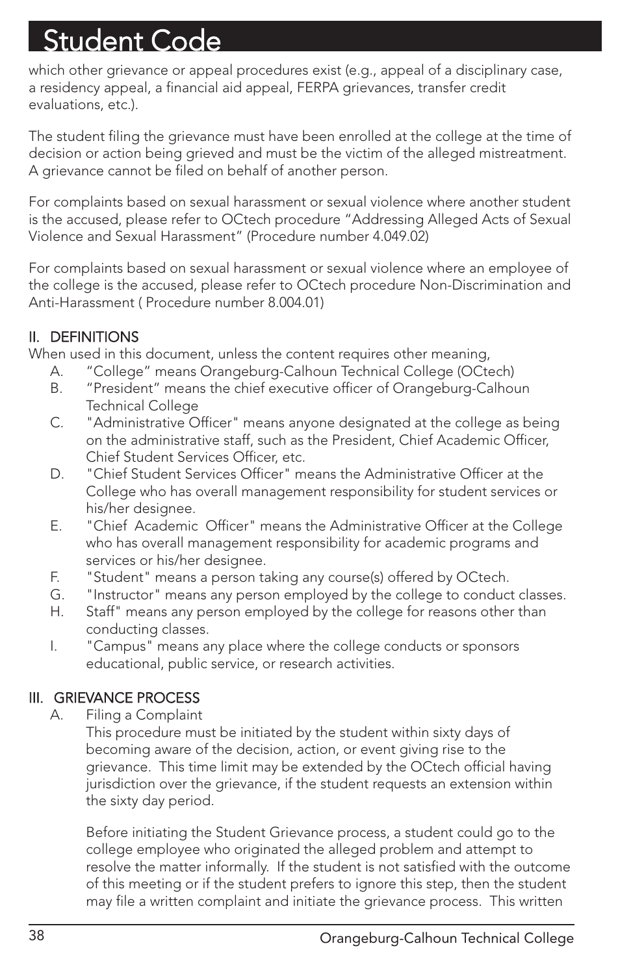which other grievance or appeal procedures exist (e.g., appeal of a disciplinary case, a residency appeal, a financial aid appeal, FERPA grievances, transfer credit evaluations, etc.).

The student filing the grievance must have been enrolled at the college at the time of decision or action being grieved and must be the victim of the alleged mistreatment. A grievance cannot be filed on behalf of another person.

For complaints based on sexual harassment or sexual violence where another student is the accused, please refer to OCtech procedure "Addressing Alleged Acts of Sexual Violence and Sexual Harassment" (Procedure number 4.049.02)

For complaints based on sexual harassment or sexual violence where an employee of the college is the accused, please refer to OCtech procedure Non-Discrimination and Anti-Harassment ( Procedure number 8.004.01)

### II. DEFINITIONS

When used in this document, unless the content requires other meaning,

- A. "College" means Orangeburg-Calhoun Technical College (OCtech)
- B. "President" means the chief executive officer of Orangeburg-Calhoun Technical College
- C. "Administrative Officer" means anyone designated at the college as being on the administrative staff, such as the President, Chief Academic Officer, Chief Student Services Officer, etc.
- D. "Chief Student Services Officer" means the Administrative Officer at the College who has overall management responsibility for student services or his/her designee.
- E. "Chief Academic Officer" means the Administrative Officer at the College who has overall management responsibility for academic programs and services or his/her designee.
- F. "Student" means a person taking any course(s) offered by OCtech.
- G. "Instructor" means any person employed by the college to conduct classes.
- H. Staff" means any person employed by the college for reasons other than conducting classes.
- I. "Campus" means any place where the college conducts or sponsors educational, public service, or research activities.

### III. GRIEVANCE PROCESS

A. Filing a Complaint

This procedure must be initiated by the student within sixty days of becoming aware of the decision, action, or event giving rise to the grievance. This time limit may be extended by the OCtech official having jurisdiction over the grievance, if the student requests an extension within the sixty day period.

Before initiating the Student Grievance process, a student could go to the college employee who originated the alleged problem and attempt to resolve the matter informally. If the student is not satisfied with the outcome of this meeting or if the student prefers to ignore this step, then the student may file a written complaint and initiate the grievance process. This written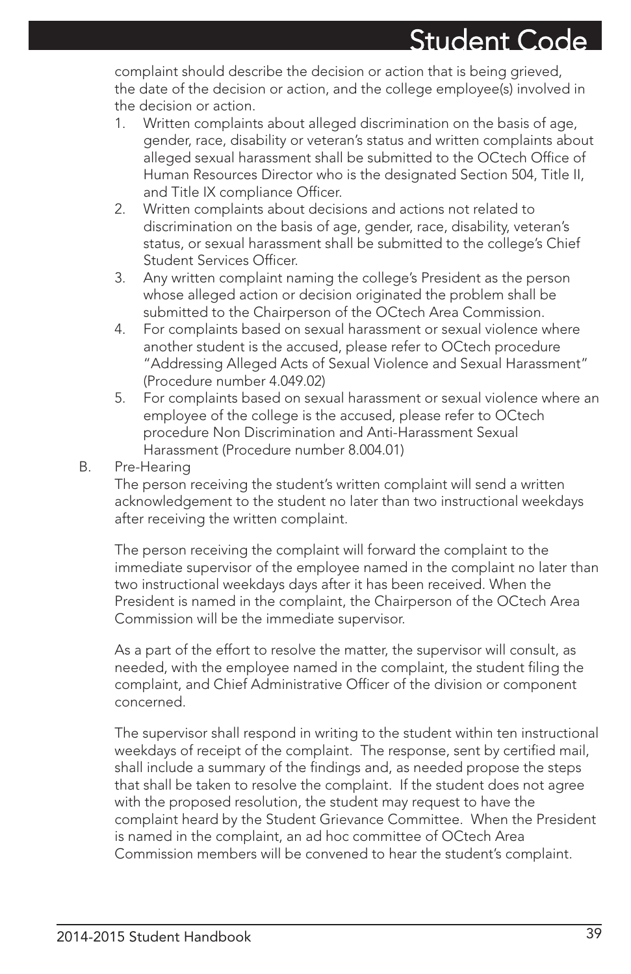complaint should describe the decision or action that is being grieved, the date of the decision or action, and the college employee(s) involved in the decision or action.

- 1. Written complaints about alleged discrimination on the basis of age, gender, race, disability or veteran's status and written complaints about alleged sexual harassment shall be submitted to the OCtech Office of Human Resources Director who is the designated Section 504, Title II, and Title IX compliance Officer.
- 2. Written complaints about decisions and actions not related to discrimination on the basis of age, gender, race, disability, veteran's status, or sexual harassment shall be submitted to the college's Chief Student Services Officer.
- 3. Any written complaint naming the college's President as the person whose alleged action or decision originated the problem shall be submitted to the Chairperson of the OCtech Area Commission.
- 4. For complaints based on sexual harassment or sexual violence where another student is the accused, please refer to OCtech procedure "Addressing Alleged Acts of Sexual Violence and Sexual Harassment" (Procedure number 4.049.02)
- 5. For complaints based on sexual harassment or sexual violence where an employee of the college is the accused, please refer to OCtech procedure Non Discrimination and Anti-Harassment Sexual Harassment (Procedure number 8.004.01)
- B. Pre-Hearing

The person receiving the student's written complaint will send a written acknowledgement to the student no later than two instructional weekdays after receiving the written complaint.

The person receiving the complaint will forward the complaint to the immediate supervisor of the employee named in the complaint no later than two instructional weekdays days after it has been received. When the President is named in the complaint, the Chairperson of the OCtech Area Commission will be the immediate supervisor.

As a part of the effort to resolve the matter, the supervisor will consult, as needed, with the employee named in the complaint, the student filing the complaint, and Chief Administrative Officer of the division or component concerned.

The supervisor shall respond in writing to the student within ten instructional weekdays of receipt of the complaint. The response, sent by certified mail, shall include a summary of the findings and, as needed propose the steps that shall be taken to resolve the complaint. If the student does not agree with the proposed resolution, the student may request to have the complaint heard by the Student Grievance Committee. When the President is named in the complaint, an ad hoc committee of OCtech Area Commission members will be convened to hear the student's complaint.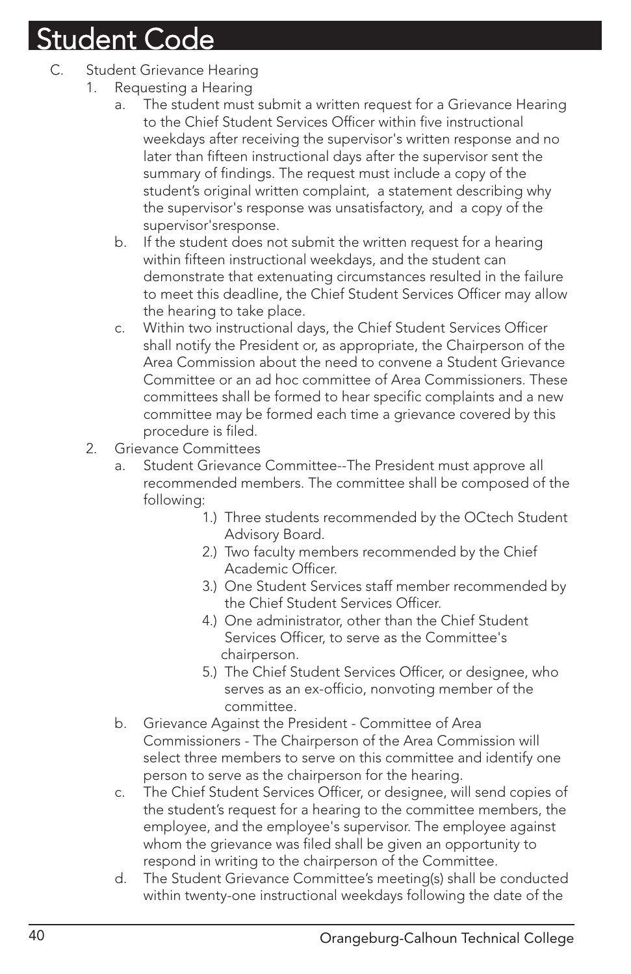- C. Student Grievance Hearing
	- 1. Requesting a Hearing
		- a. The student must submit a written request for a Grievance Hearing to the Chief Student Services Officer within five instructional weekdays after receiving the supervisor's written response and no later than fifteen instructional days after the supervisor sent the summary of findings. The request must include a copy of the student's original written complaint, a statement describing why the supervisor's response was unsatisfactory, and a copy of the supervisor'sresponse.
		- b. If the student does not submit the written request for a hearing within fifteen instructional weekdays, and the student can demonstrate that extenuating circumstances resulted in the failure to meet this deadline, the Chief Student Services Officer may allow the hearing to take place.
		- c. Within two instructional days, the Chief Student Services Officer shall notify the President or, as appropriate, the Chairperson of the Area Commission about the need to convene a Student Grievance Committee or an ad hoc committee of Area Commissioners. These committees shall be formed to hear specific complaints and a new committee may be formed each time a grievance covered by this procedure is filed.
	- 2. Grievance Committees
		- a. Student Grievance Committee--The President must approve all recommended members. The committee shall be composed of the following:
			- 1.) Three students recommended by the OCtech Student Advisory Board.
			- 2.) Two faculty members recommended by the Chief Academic Officer.
			- 3.) One Student Services staff member recommended by the Chief Student Services Officer.
			- 4.) One administrator, other than the Chief Student Services Officer, to serve as the Committee's chairperson.
			- 5.) The Chief Student Services Officer, or designee, who serves as an ex-officio, nonvoting member of the committee.
		- b. Grievance Against the President Committee of Area Commissioners - The Chairperson of the Area Commission will select three members to serve on this committee and identify one person to serve as the chairperson for the hearing.
		- c. The Chief Student Services Officer, or designee, will send copies of the student's request for a hearing to the committee members, the employee, and the employee's supervisor. The employee against whom the grievance was filed shall be given an opportunity to respond in writing to the chairperson of the Committee.
		- d. The Student Grievance Committee's meeting(s) shall be conducted within twenty-one instructional weekdays following the date of the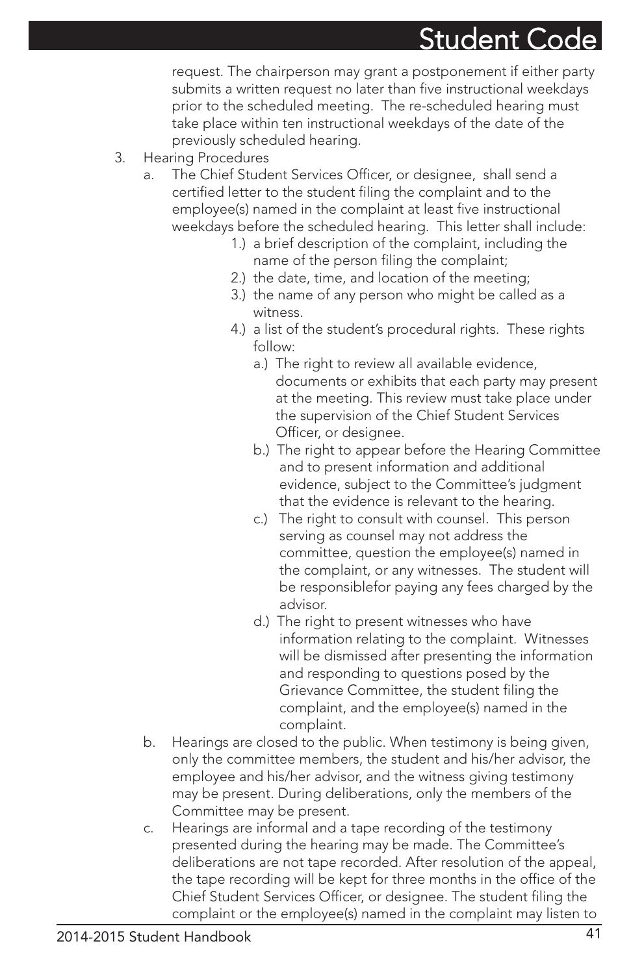request. The chairperson may grant a postponement if either party submits a written request no later than five instructional weekdays prior to the scheduled meeting. The re-scheduled hearing must take place within ten instructional weekdays of the date of the previously scheduled hearing.

- 3. Hearing Procedures
	- a. The Chief Student Services Officer, or designee, shall send a certified letter to the student filing the complaint and to the employee(s) named in the complaint at least five instructional weekdays before the scheduled hearing. This letter shall include:
		- 1.) a brief description of the complaint, including the name of the person filing the complaint;
		- 2.) the date, time, and location of the meeting;
		- 3.) the name of any person who might be called as a witness.
		- 4.) a list of the student's procedural rights. These rights follow:
			- a.) The right to review all available evidence, documents or exhibits that each party may present at the meeting. This review must take place under the supervision of the Chief Student Services Officer, or designee.
			- b.) The right to appear before the Hearing Committee and to present information and additional evidence, subject to the Committee's judgment that the evidence is relevant to the hearing.
			- c.) The right to consult with counsel. This person serving as counsel may not address the committee, question the employee(s) named in the complaint, or any witnesses. The student will be responsiblefor paying any fees charged by the advisor.
			- d.) The right to present witnesses who have information relating to the complaint. Witnesses will be dismissed after presenting the information and responding to questions posed by the Grievance Committee, the student filing the complaint, and the employee(s) named in the complaint.
	- b. Hearings are closed to the public. When testimony is being given, only the committee members, the student and his/her advisor, the employee and his/her advisor, and the witness giving testimony may be present. During deliberations, only the members of the Committee may be present.
	- c. Hearings are informal and a tape recording of the testimony presented during the hearing may be made. The Committee's deliberations are not tape recorded. After resolution of the appeal, the tape recording will be kept for three months in the office of the Chief Student Services Officer, or designee. The student filing the complaint or the employee(s) named in the complaint may listen to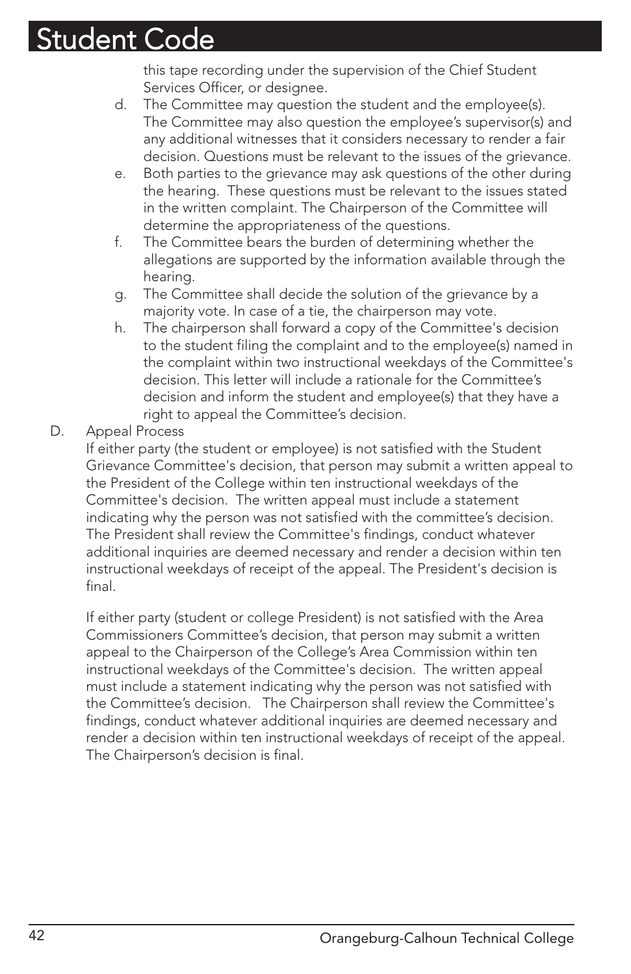this tape recording under the supervision of the Chief Student Services Officer, or designee.

- d. The Committee may question the student and the employee(s). The Committee may also question the employee's supervisor(s) and any additional witnesses that it considers necessary to render a fair decision. Questions must be relevant to the issues of the grievance.
- e. Both parties to the grievance may ask questions of the other during the hearing. These questions must be relevant to the issues stated in the written complaint. The Chairperson of the Committee will determine the appropriateness of the questions.
- f. The Committee bears the burden of determining whether the allegations are supported by the information available through the hearing.
- g. The Committee shall decide the solution of the grievance by a majority vote. In case of a tie, the chairperson may vote.
- h. The chairperson shall forward a copy of the Committee's decision to the student filing the complaint and to the employee(s) named in the complaint within two instructional weekdays of the Committee's decision. This letter will include a rationale for the Committee's decision and inform the student and employee(s) that they have a right to appeal the Committee's decision.
- D. Appeal Process

If either party (the student or employee) is not satisfied with the Student Grievance Committee's decision, that person may submit a written appeal to the President of the College within ten instructional weekdays of the Committee's decision. The written appeal must include a statement indicating why the person was not satisfied with the committee's decision. The President shall review the Committee's findings, conduct whatever additional inquiries are deemed necessary and render a decision within ten instructional weekdays of receipt of the appeal. The President's decision is final.

If either party (student or college President) is not satisfied with the Area Commissioners Committee's decision, that person may submit a written appeal to the Chairperson of the College's Area Commission within ten instructional weekdays of the Committee's decision. The written appeal must include a statement indicating why the person was not satisfied with the Committee's decision. The Chairperson shall review the Committee's findings, conduct whatever additional inquiries are deemed necessary and render a decision within ten instructional weekdays of receipt of the appeal. The Chairperson's decision is final.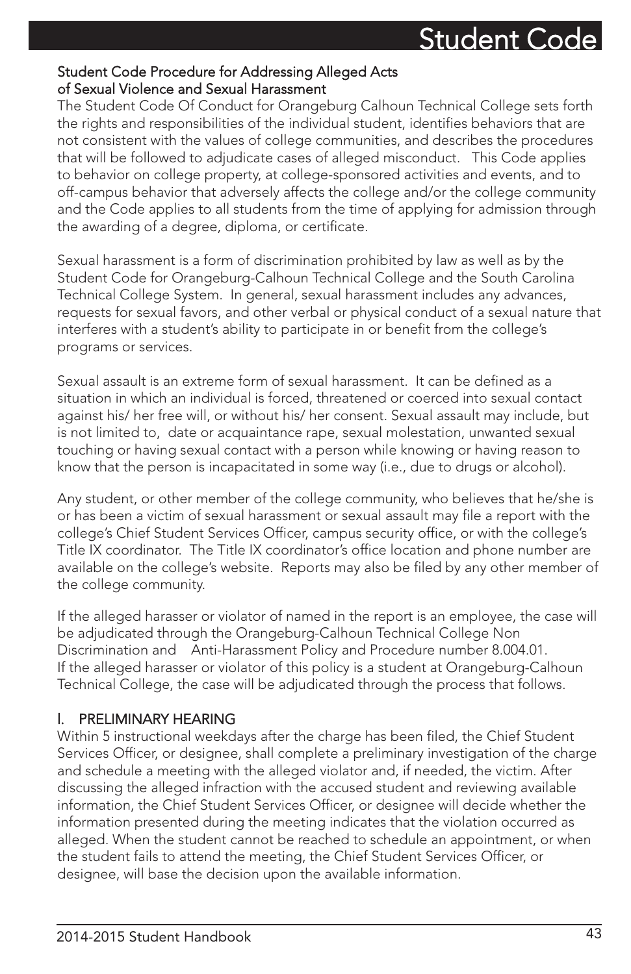### Student Code Procedure for Addressing Alleged Acts of Sexual Violence and Sexual Harassment

The Student Code Of Conduct for Orangeburg Calhoun Technical College sets forth the rights and responsibilities of the individual student, identifies behaviors that are not consistent with the values of college communities, and describes the procedures that will be followed to adjudicate cases of alleged misconduct. This Code applies to behavior on college property, at college-sponsored activities and events, and to off-campus behavior that adversely affects the college and/or the college community and the Code applies to all students from the time of applying for admission through the awarding of a degree, diploma, or certificate.

Sexual harassment is a form of discrimination prohibited by law as well as by the Student Code for Orangeburg-Calhoun Technical College and the South Carolina Technical College System. In general, sexual harassment includes any advances, requests for sexual favors, and other verbal or physical conduct of a sexual nature that interferes with a student's ability to participate in or benefit from the college's programs or services.

Sexual assault is an extreme form of sexual harassment. It can be defined as a situation in which an individual is forced, threatened or coerced into sexual contact against his/ her free will, or without his/ her consent. Sexual assault may include, but is not limited to, date or acquaintance rape, sexual molestation, unwanted sexual touching or having sexual contact with a person while knowing or having reason to know that the person is incapacitated in some way (i.e., due to drugs or alcohol).

Any student, or other member of the college community, who believes that he/she is or has been a victim of sexual harassment or sexual assault may file a report with the college's Chief Student Services Officer, campus security office, or with the college's Title IX coordinator. The Title IX coordinator's office location and phone number are available on the college's website. Reports may also be filed by any other member of the college community.

If the alleged harasser or violator of named in the report is an employee, the case will be adjudicated through the Orangeburg-Calhoun Technical College Non Discrimination and Anti-Harassment Policy and Procedure number 8.004.01. If the alleged harasser or violator of this policy is a student at Orangeburg-Calhoun Technical College, the case will be adjudicated through the process that follows.

### l. PRELIMINARY HEARING

Within 5 instructional weekdays after the charge has been filed, the Chief Student Services Officer, or designee, shall complete a preliminary investigation of the charge and schedule a meeting with the alleged violator and, if needed, the victim. After discussing the alleged infraction with the accused student and reviewing available information, the Chief Student Services Officer, or designee will decide whether the information presented during the meeting indicates that the violation occurred as alleged. When the student cannot be reached to schedule an appointment, or when the student fails to attend the meeting, the Chief Student Services Officer, or designee, will base the decision upon the available information.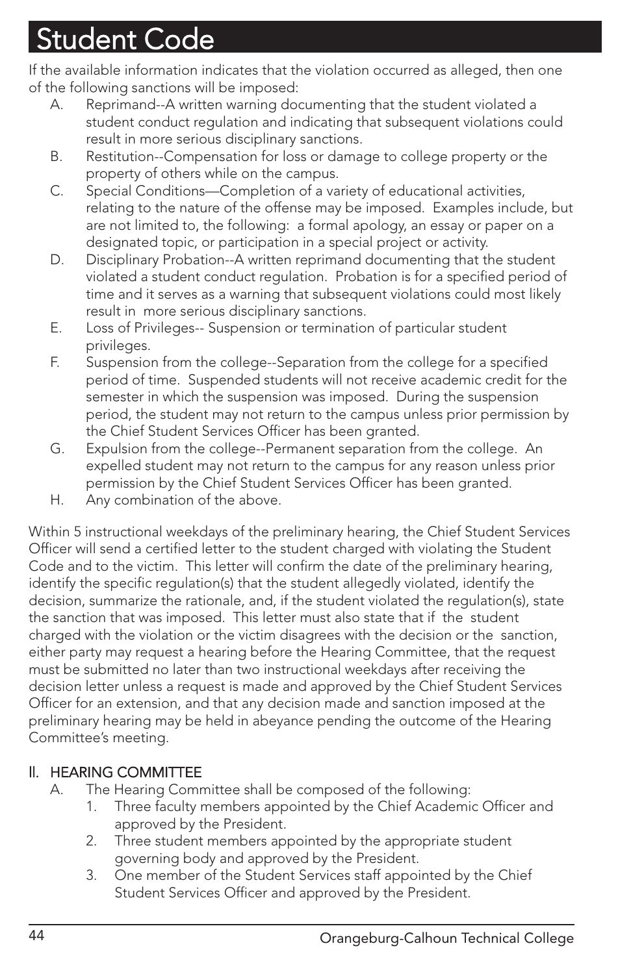If the available information indicates that the violation occurred as alleged, then one of the following sanctions will be imposed:

- A. Reprimand--A written warning documenting that the student violated a student conduct regulation and indicating that subsequent violations could result in more serious disciplinary sanctions.
- B. Restitution--Compensation for loss or damage to college property or the property of others while on the campus.
- C. Special Conditions—Completion of a variety of educational activities, relating to the nature of the offense may be imposed. Examples include, but are not limited to, the following: a formal apology, an essay or paper on a designated topic, or participation in a special project or activity.
- D. Disciplinary Probation--A written reprimand documenting that the student violated a student conduct regulation. Probation is for a specified period of time and it serves as a warning that subsequent violations could most likely result in more serious disciplinary sanctions.
- E. Loss of Privileges-- Suspension or termination of particular student privileges.
- F. Suspension from the college--Separation from the college for a specified period of time. Suspended students will not receive academic credit for the semester in which the suspension was imposed. During the suspension period, the student may not return to the campus unless prior permission by the Chief Student Services Officer has been granted.
- G. Expulsion from the college--Permanent separation from the college. An expelled student may not return to the campus for any reason unless prior permission by the Chief Student Services Officer has been granted.
- H. Any combination of the above.

Within 5 instructional weekdays of the preliminary hearing, the Chief Student Services Officer will send a certified letter to the student charged with violating the Student Code and to the victim. This letter will confirm the date of the preliminary hearing, identify the specific regulation(s) that the student allegedly violated, identify the decision, summarize the rationale, and, if the student violated the regulation(s), state the sanction that was imposed. This letter must also state that if the student charged with the violation or the victim disagrees with the decision or the sanction, either party may request a hearing before the Hearing Committee, that the request must be submitted no later than two instructional weekdays after receiving the decision letter unless a request is made and approved by the Chief Student Services Officer for an extension, and that any decision made and sanction imposed at the preliminary hearing may be held in abeyance pending the outcome of the Hearing Committee's meeting.

### ll. HEARING COMMITTEE

- A. The Hearing Committee shall be composed of the following:
	- 1. Three faculty members appointed by the Chief Academic Officer and approved by the President.
	- 2. Three student members appointed by the appropriate student governing body and approved by the President.
	- 3. One member of the Student Services staff appointed by the Chief Student Services Officer and approved by the President.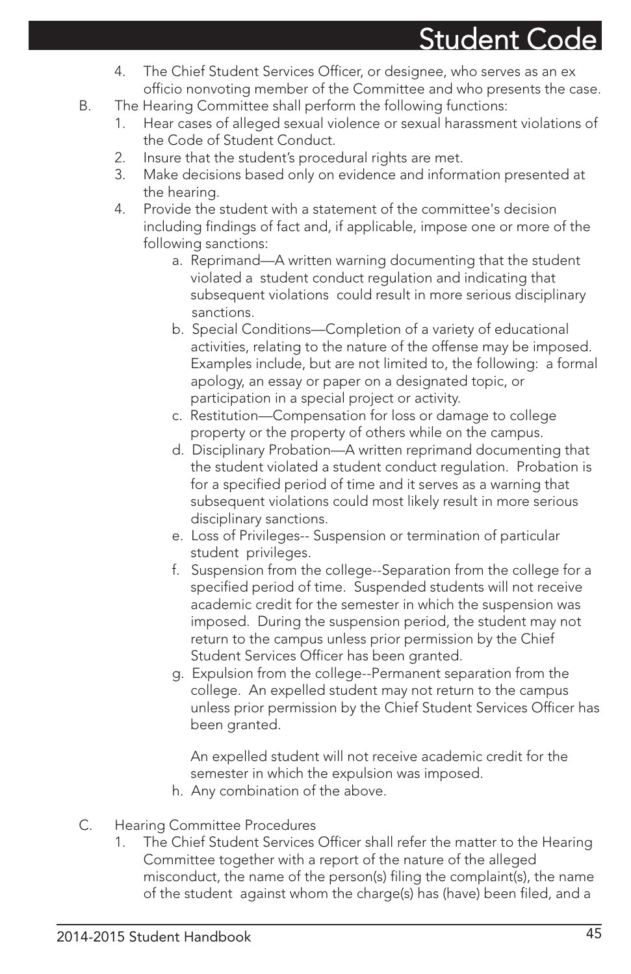- 4. The Chief Student Services Officer, or designee, who serves as an ex officio nonvoting member of the Committee and who presents the case.
- B. The Hearing Committee shall perform the following functions:
	- 1. Hear cases of alleged sexual violence or sexual harassment violations of the Code of Student Conduct.
	- 2. Insure that the student's procedural rights are met.
	- 3. Make decisions based only on evidence and information presented at the hearing.
	- 4. Provide the student with a statement of the committee's decision including findings of fact and, if applicable, impose one or more of the following sanctions:
		- a. Reprimand—A written warning documenting that the student violated a student conduct regulation and indicating that subsequent violations could result in more serious disciplinary sanctions.
		- b. Special Conditions—Completion of a variety of educational activities, relating to the nature of the offense may be imposed. Examples include, but are not limited to, the following: a formal apology, an essay or paper on a designated topic, or participation in a special project or activity.
		- c. Restitution—Compensation for loss or damage to college property or the property of others while on the campus.
		- d. Disciplinary Probation—A written reprimand documenting that the student violated a student conduct regulation. Probation is for a specified period of time and it serves as a warning that subsequent violations could most likely result in more serious disciplinary sanctions.
		- e. Loss of Privileges-- Suspension or termination of particular student privileges.
		- f. Suspension from the college--Separation from the college for a specified period of time. Suspended students will not receive academic credit for the semester in which the suspension was imposed. During the suspension period, the student may not return to the campus unless prior permission by the Chief Student Services Officer has been granted.
		- g. Expulsion from the college--Permanent separation from the college. An expelled student may not return to the campus unless prior permission by the Chief Student Services Officer has been granted.

An expelled student will not receive academic credit for the semester in which the expulsion was imposed.

- h. Any combination of the above.
- C. Hearing Committee Procedures
	- 1. The Chief Student Services Officer shall refer the matter to the Hearing Committee together with a report of the nature of the alleged misconduct, the name of the person(s) filing the complaint(s), the name of the student against whom the charge(s) has (have) been filed, and a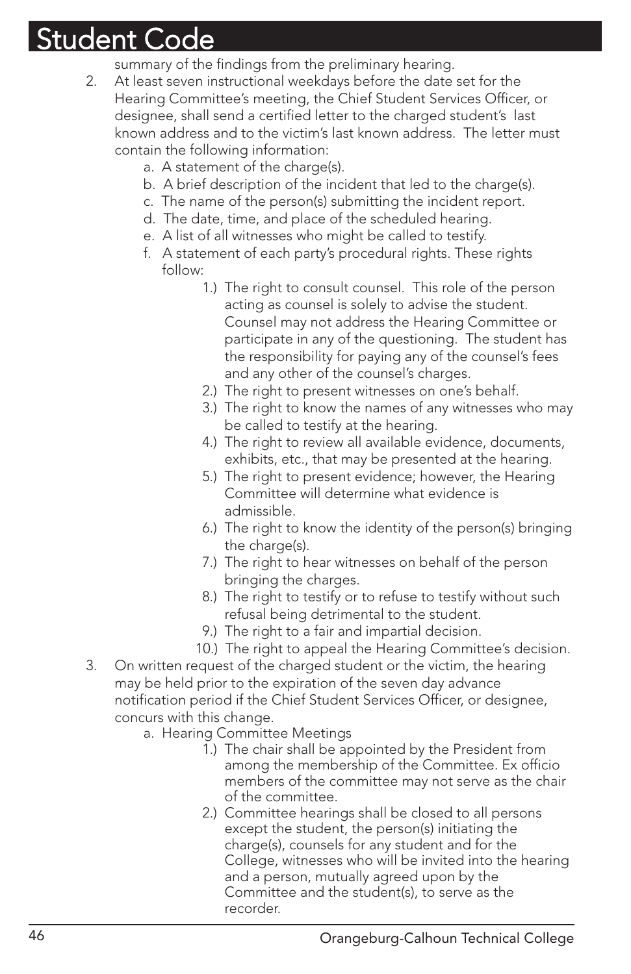summary of the findings from the preliminary hearing.

- 2. At least seven instructional weekdays before the date set for the Hearing Committee's meeting, the Chief Student Services Officer, or designee, shall send a certified letter to the charged student's last known address and to the victim's last known address. The letter must contain the following information:
	- a. A statement of the charge(s).
	- b. A brief description of the incident that led to the charge(s).
	- c. The name of the person(s) submitting the incident report.
	- d. The date, time, and place of the scheduled hearing.
	- e. A list of all witnesses who might be called to testify.
	- f. A statement of each party's procedural rights. These rights follow:
		- 1.) The right to consult counsel. This role of the person acting as counsel is solely to advise the student. Counsel may not address the Hearing Committee or participate in any of the questioning. The student has the responsibility for paying any of the counsel's fees and any other of the counsel's charges.
		- 2.) The right to present witnesses on one's behalf.
		- 3.) The right to know the names of any witnesses who may be called to testify at the hearing.
		- 4.) The right to review all available evidence, documents, exhibits, etc., that may be presented at the hearing.
		- 5.) The right to present evidence; however, the Hearing Committee will determine what evidence is admissible.
		- 6.) The right to know the identity of the person(s) bringing the charge(s).
		- 7.) The right to hear witnesses on behalf of the person bringing the charges.
		- 8.) The right to testify or to refuse to testify without such refusal being detrimental to the student.
		- 9.) The right to a fair and impartial decision.
		- 10.) The right to appeal the Hearing Committee's decision.
- 3. On written request of the charged student or the victim, the hearing may be held prior to the expiration of the seven day advance notification period if the Chief Student Services Officer, or designee, concurs with this change.
	- a. Hearing Committee Meetings
		- 1.) The chair shall be appointed by the President from among the membership of the Committee. Ex officio members of the committee may not serve as the chair of the committee.
		- 2.) Committee hearings shall be closed to all persons except the student, the person(s) initiating the charge(s), counsels for any student and for the College, witnesses who will be invited into the hearing and a person, mutually agreed upon by the Committee and the student(s), to serve as the recorder.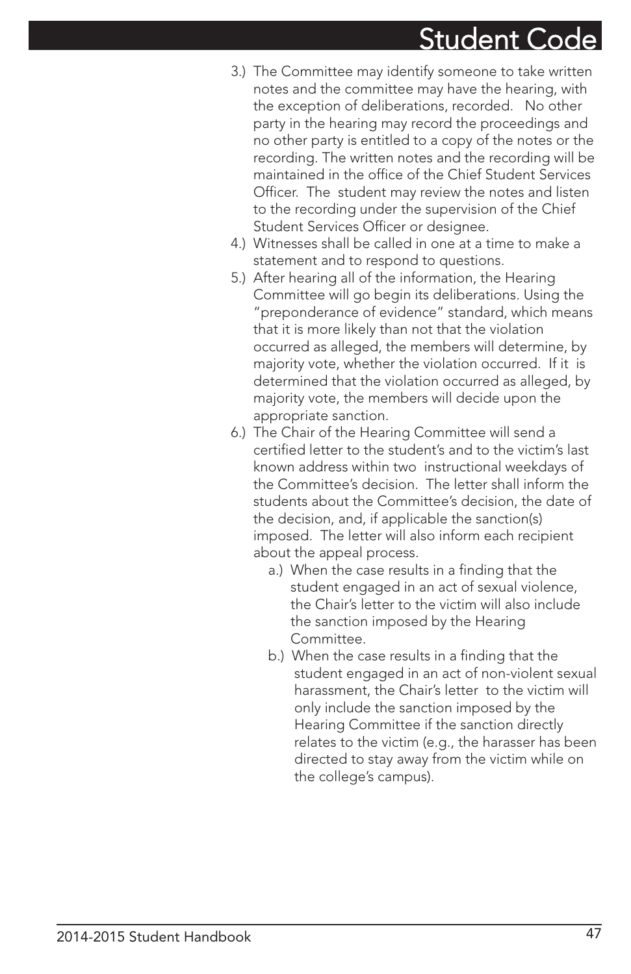- 3.) The Committee may identify someone to take written notes and the committee may have the hearing, with the exception of deliberations, recorded. No other party in the hearing may record the proceedings and no other party is entitled to a copy of the notes or the recording. The written notes and the recording will be maintained in the office of the Chief Student Services Officer. The student may review the notes and listen to the recording under the supervision of the Chief Student Services Officer or designee.
- 4.) Witnesses shall be called in one at a time to make a statement and to respond to questions.
- 5.) After hearing all of the information, the Hearing Committee will go begin its deliberations. Using the "preponderance of evidence" standard, which means that it is more likely than not that the violation occurred as alleged, the members will determine, by majority vote, whether the violation occurred. If it is determined that the violation occurred as alleged, by majority vote, the members will decide upon the appropriate sanction.
- 6.) The Chair of the Hearing Committee will send a certified letter to the student's and to the victim's last known address within two instructional weekdays of the Committee's decision. The letter shall inform the students about the Committee's decision, the date of the decision, and, if applicable the sanction(s) imposed. The letter will also inform each recipient about the appeal process.
	- a.) When the case results in a finding that the student engaged in an act of sexual violence, the Chair's letter to the victim will also include the sanction imposed by the Hearing Committee.
	- b.) When the case results in a finding that the student engaged in an act of non-violent sexual harassment, the Chair's letter to the victim will only include the sanction imposed by the Hearing Committee if the sanction directly relates to the victim (e.g., the harasser has been directed to stay away from the victim while on the college's campus).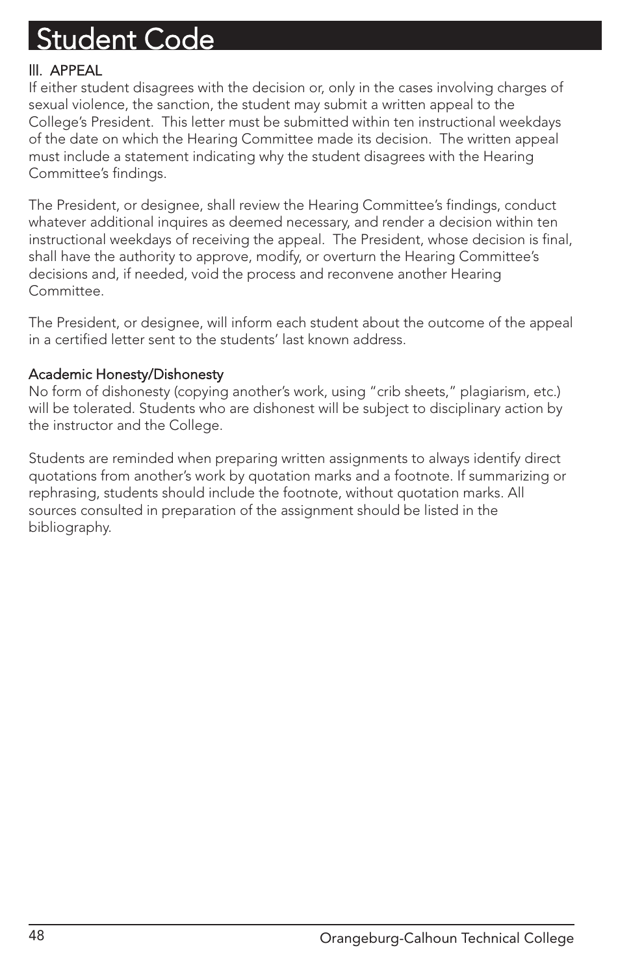### lll. APPEAL

If either student disagrees with the decision or, only in the cases involving charges of sexual violence, the sanction, the student may submit a written appeal to the College's President. This letter must be submitted within ten instructional weekdays of the date on which the Hearing Committee made its decision. The written appeal must include a statement indicating why the student disagrees with the Hearing Committee's findings.

The President, or designee, shall review the Hearing Committee's findings, conduct whatever additional inquires as deemed necessary, and render a decision within ten instructional weekdays of receiving the appeal. The President, whose decision is final, shall have the authority to approve, modify, or overturn the Hearing Committee's decisions and, if needed, void the process and reconvene another Hearing Committee.

The President, or designee, will inform each student about the outcome of the appeal in a certified letter sent to the students' last known address.

### Academic Honesty/Dishonesty

No form of dishonesty (copying another's work, using "crib sheets," plagiarism, etc.) will be tolerated. Students who are dishonest will be subject to disciplinary action by the instructor and the College.

Students are reminded when preparing written assignments to always identify direct quotations from another's work by quotation marks and a footnote. If summarizing or rephrasing, students should include the footnote, without quotation marks. All sources consulted in preparation of the assignment should be listed in the bibliography.